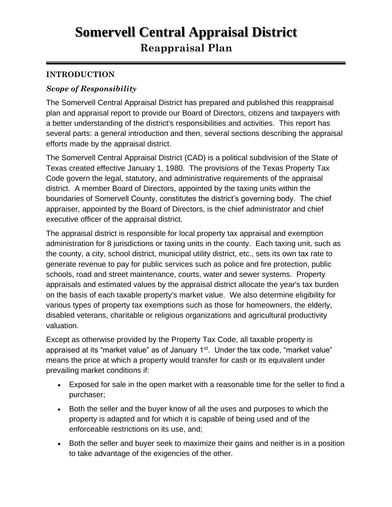# **Somervell Central Appraisal District Reappraisal Plan**

### **INTRODUCTION**

#### *Scope of Responsibility*

The Somervell Central Appraisal District has prepared and published this reappraisal plan and appraisal report to provide our Board of Directors, citizens and taxpayers with a better understanding of the district's responsibilities and activities. This report has several parts: a general introduction and then, several sections describing the appraisal efforts made by the appraisal district.

The Somervell Central Appraisal District (CAD) is a political subdivision of the State of Texas created effective January 1, 1980. The provisions of the Texas Property Tax Code govern the legal, statutory, and administrative requirements of the appraisal district. A member Board of Directors, appointed by the taxing units within the boundaries of Somervell County, constitutes the district's governing body. The chief appraiser, appointed by the Board of Directors, is the chief administrator and chief executive officer of the appraisal district.

The appraisal district is responsible for local property tax appraisal and exemption administration for 8 jurisdictions or taxing units in the county. Each taxing unit, such as the county, a city, school district, municipal utility district, etc., sets its own tax rate to generate revenue to pay for public services such as police and fire protection, public schools, road and street maintenance, courts, water and sewer systems. Property appraisals and estimated values by the appraisal district allocate the year's tax burden on the basis of each taxable property's market value. We also determine eligibility for various types of property tax exemptions such as those for homeowners, the elderly, disabled veterans, charitable or religious organizations and agricultural productivity valuation.

Except as otherwise provided by the Property Tax Code, all taxable property is appraised at its "market value" as of January  $1<sup>st</sup>$ . Under the tax code, "market value" means the price at which a property would transfer for cash or its equivalent under prevailing market conditions if:

- Exposed for sale in the open market with a reasonable time for the seller to find a purchaser;
- Both the seller and the buyer know of all the uses and purposes to which the property is adapted and for which it is capable of being used and of the enforceable restrictions on its use, and;
- Both the seller and buyer seek to maximize their gains and neither is in a position to take advantage of the exigencies of the other.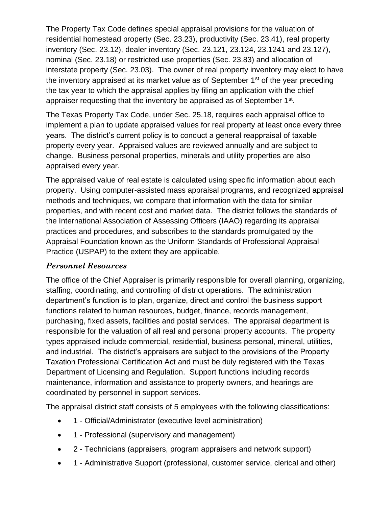The Property Tax Code defines special appraisal provisions for the valuation of residential homestead property (Sec. 23.23), productivity (Sec. 23.41), real property inventory (Sec. 23.12), dealer inventory (Sec. 23.121, 23.124, 23.1241 and 23.127), nominal (Sec. 23.18) or restricted use properties (Sec. 23.83) and allocation of interstate property (Sec. 23.03). The owner of real property inventory may elect to have the inventory appraised at its market value as of September  $1<sup>st</sup>$  of the year preceding the tax year to which the appraisal applies by filing an application with the chief appraiser requesting that the inventory be appraised as of September 1<sup>st</sup>.

The Texas Property Tax Code, under Sec. 25.18, requires each appraisal office to implement a plan to update appraised values for real property at least once every three years. The district's current policy is to conduct a general reappraisal of taxable property every year. Appraised values are reviewed annually and are subject to change. Business personal properties, minerals and utility properties are also appraised every year.

The appraised value of real estate is calculated using specific information about each property. Using computer-assisted mass appraisal programs, and recognized appraisal methods and techniques, we compare that information with the data for similar properties, and with recent cost and market data. The district follows the standards of the International Association of Assessing Officers (IAAO) regarding its appraisal practices and procedures, and subscribes to the standards promulgated by the Appraisal Foundation known as the Uniform Standards of Professional Appraisal Practice (USPAP) to the extent they are applicable.

#### *Personnel Resources*

The office of the Chief Appraiser is primarily responsible for overall planning, organizing, staffing, coordinating, and controlling of district operations. The administration department's function is to plan, organize, direct and control the business support functions related to human resources, budget, finance, records management, purchasing, fixed assets, facilities and postal services. The appraisal department is responsible for the valuation of all real and personal property accounts. The property types appraised include commercial, residential, business personal, mineral, utilities, and industrial. The district's appraisers are subject to the provisions of the Property Taxation Professional Certification Act and must be duly registered with the Texas Department of Licensing and Regulation. Support functions including records maintenance, information and assistance to property owners, and hearings are coordinated by personnel in support services.

The appraisal district staff consists of 5 employees with the following classifications:

- 1 Official/Administrator (executive level administration)
- 1 Professional (supervisory and management)
- 2 Technicians (appraisers, program appraisers and network support)
- 1 Administrative Support (professional, customer service, clerical and other)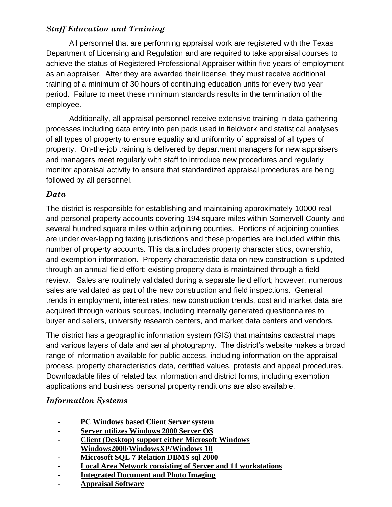# *Staff Education and Training*

All personnel that are performing appraisal work are registered with the Texas Department of Licensing and Regulation and are required to take appraisal courses to achieve the status of Registered Professional Appraiser within five years of employment as an appraiser. After they are awarded their license, they must receive additional training of a minimum of 30 hours of continuing education units for every two year period. Failure to meet these minimum standards results in the termination of the employee.

Additionally, all appraisal personnel receive extensive training in data gathering processes including data entry into pen pads used in fieldwork and statistical analyses of all types of property to ensure equality and uniformity of appraisal of all types of property. On-the-job training is delivered by department managers for new appraisers and managers meet regularly with staff to introduce new procedures and regularly monitor appraisal activity to ensure that standardized appraisal procedures are being followed by all personnel.

#### *Data*

The district is responsible for establishing and maintaining approximately 10000 real and personal property accounts covering 194 square miles within Somervell County and several hundred square miles within adjoining counties. Portions of adjoining counties are under over-lapping taxing jurisdictions and these properties are included within this number of property accounts. This data includes property characteristics, ownership, and exemption information. Property characteristic data on new construction is updated through an annual field effort; existing property data is maintained through a field review. Sales are routinely validated during a separate field effort; however, numerous sales are validated as part of the new construction and field inspections. General trends in employment, interest rates, new construction trends, cost and market data are acquired through various sources, including internally generated questionnaires to buyer and sellers, university research centers, and market data centers and vendors.

The district has a geographic information system (GIS) that maintains cadastral maps and various layers of data and aerial photography. The district's website makes a broad range of information available for public access, including information on the appraisal process, property characteristics data, certified values, protests and appeal procedures. Downloadable files of related tax information and district forms, including exemption applications and business personal property renditions are also available.

# *Information Systems*

- **- PC Windows based Client Server system**
- **- Server utilizes Windows 2000 Server OS**
- **- Client (Desktop) support either Microsoft Windows Windows2000/WindowsXP/Windows 10**
- **- Microsoft SQL 7 Relation DBMS sql 2000**
- **- Local Area Network consisting of Server and 11 workstations**
- **- Integrated Document and Photo Imaging**
- **- Appraisal Software**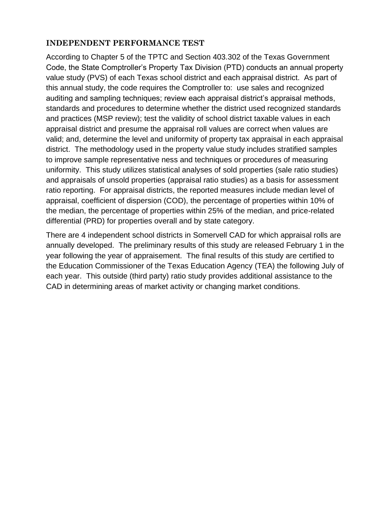#### **INDEPENDENT PERFORMANCE TEST**

According to Chapter 5 of the TPTC and Section 403.302 of the Texas Government Code, the State Comptroller's Property Tax Division (PTD) conducts an annual property value study (PVS) of each Texas school district and each appraisal district. As part of this annual study, the code requires the Comptroller to: use sales and recognized auditing and sampling techniques; review each appraisal district's appraisal methods, standards and procedures to determine whether the district used recognized standards and practices (MSP review); test the validity of school district taxable values in each appraisal district and presume the appraisal roll values are correct when values are valid; and, determine the level and uniformity of property tax appraisal in each appraisal district. The methodology used in the property value study includes stratified samples to improve sample representative ness and techniques or procedures of measuring uniformity. This study utilizes statistical analyses of sold properties (sale ratio studies) and appraisals of unsold properties (appraisal ratio studies) as a basis for assessment ratio reporting. For appraisal districts, the reported measures include median level of appraisal, coefficient of dispersion (COD), the percentage of properties within 10% of the median, the percentage of properties within 25% of the median, and price-related differential (PRD) for properties overall and by state category.

There are 4 independent school districts in Somervell CAD for which appraisal rolls are annually developed. The preliminary results of this study are released February 1 in the year following the year of appraisement. The final results of this study are certified to the Education Commissioner of the Texas Education Agency (TEA) the following July of each year. This outside (third party) ratio study provides additional assistance to the CAD in determining areas of market activity or changing market conditions.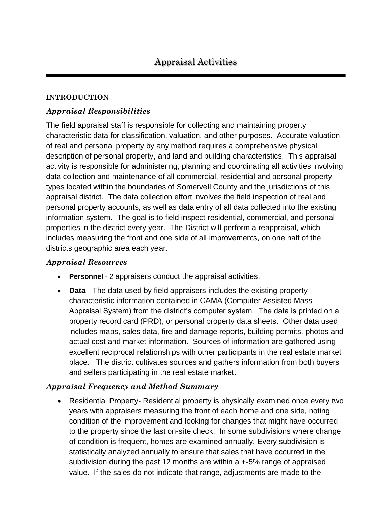#### **INTRODUCTION**

#### *Appraisal Responsibilities*

The field appraisal staff is responsible for collecting and maintaining property characteristic data for classification, valuation, and other purposes. Accurate valuation of real and personal property by any method requires a comprehensive physical description of personal property, and land and building characteristics. This appraisal activity is responsible for administering, planning and coordinating all activities involving data collection and maintenance of all commercial, residential and personal property types located within the boundaries of Somervell County and the jurisdictions of this appraisal district. The data collection effort involves the field inspection of real and personal property accounts, as well as data entry of all data collected into the existing information system. The goal is to field inspect residential, commercial, and personal properties in the district every year. The District will perform a reappraisal, which includes measuring the front and one side of all improvements, on one half of the districts geographic area each year.

#### *Appraisal Resources*

- **Personnel** 2 appraisers conduct the appraisal activities.
- **Data** The data used by field appraisers includes the existing property characteristic information contained in CAMA (Computer Assisted Mass Appraisal System) from the district's computer system. The data is printed on a property record card (PRD), or personal property data sheets. Other data used includes maps, sales data, fire and damage reports, building permits, photos and actual cost and market information. Sources of information are gathered using excellent reciprocal relationships with other participants in the real estate market place. The district cultivates sources and gathers information from both buyers and sellers participating in the real estate market.

#### *Appraisal Frequency and Method Summary*

• Residential Property- Residential property is physically examined once every two years with appraisers measuring the front of each home and one side, noting condition of the improvement and looking for changes that might have occurred to the property since the last on-site check. In some subdivisions where change of condition is frequent, homes are examined annually. Every subdivision is statistically analyzed annually to ensure that sales that have occurred in the subdivision during the past 12 months are within  $a + 5\%$  range of appraised value. If the sales do not indicate that range, adjustments are made to the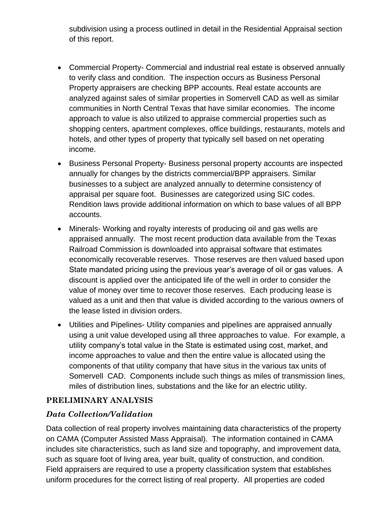subdivision using a process outlined in detail in the Residential Appraisal section of this report.

- Commercial Property- Commercial and industrial real estate is observed annually to verify class and condition. The inspection occurs as Business Personal Property appraisers are checking BPP accounts. Real estate accounts are analyzed against sales of similar properties in Somervell CAD as well as similar communities in North Central Texas that have similar economies. The income approach to value is also utilized to appraise commercial properties such as shopping centers, apartment complexes, office buildings, restaurants, motels and hotels, and other types of property that typically sell based on net operating income.
- Business Personal Property- Business personal property accounts are inspected annually for changes by the districts commercial/BPP appraisers. Similar businesses to a subject are analyzed annually to determine consistency of appraisal per square foot. Businesses are categorized using SIC codes. Rendition laws provide additional information on which to base values of all BPP accounts.
- Minerals- Working and royalty interests of producing oil and gas wells are appraised annually. The most recent production data available from the Texas Railroad Commission is downloaded into appraisal software that estimates economically recoverable reserves. Those reserves are then valued based upon State mandated pricing using the previous year's average of oil or gas values. A discount is applied over the anticipated life of the well in order to consider the value of money over time to recover those reserves. Each producing lease is valued as a unit and then that value is divided according to the various owners of the lease listed in division orders.
- Utilities and Pipelines- Utility companies and pipelines are appraised annually using a unit value developed using all three approaches to value. For example, a utility company's total value in the State is estimated using cost, market, and income approaches to value and then the entire value is allocated using the components of that utility company that have situs in the various tax units of Somervell CAD. Components include such things as miles of transmission lines, miles of distribution lines, substations and the like for an electric utility.

#### **PRELIMINARY ANALYSIS**

# *Data Collection/Validation*

Data collection of real property involves maintaining data characteristics of the property on CAMA (Computer Assisted Mass Appraisal). The information contained in CAMA includes site characteristics, such as land size and topography, and improvement data, such as square foot of living area, year built, quality of construction, and condition. Field appraisers are required to use a property classification system that establishes uniform procedures for the correct listing of real property. All properties are coded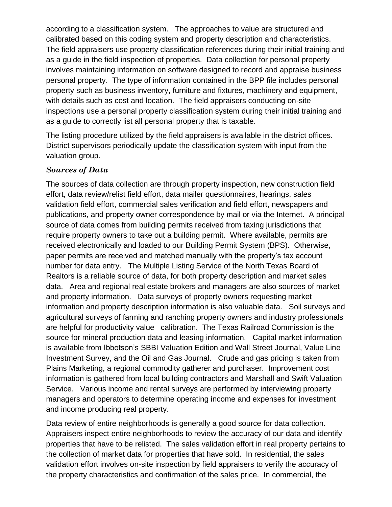according to a classification system. The approaches to value are structured and calibrated based on this coding system and property description and characteristics. The field appraisers use property classification references during their initial training and as a guide in the field inspection of properties. Data collection for personal property involves maintaining information on software designed to record and appraise business personal property. The type of information contained in the BPP file includes personal property such as business inventory, furniture and fixtures, machinery and equipment, with details such as cost and location. The field appraisers conducting on-site inspections use a personal property classification system during their initial training and as a guide to correctly list all personal property that is taxable.

The listing procedure utilized by the field appraisers is available in the district offices. District supervisors periodically update the classification system with input from the valuation group.

#### *Sources of Data*

The sources of data collection are through property inspection, new construction field effort, data review/relist field effort, data mailer questionnaires, hearings, sales validation field effort, commercial sales verification and field effort, newspapers and publications, and property owner correspondence by mail or via the Internet. A principal source of data comes from building permits received from taxing jurisdictions that require property owners to take out a building permit. Where available, permits are received electronically and loaded to our Building Permit System (BPS). Otherwise, paper permits are received and matched manually with the property's tax account number for data entry. The Multiple Listing Service of the North Texas Board of Realtors is a reliable source of data, for both property description and market sales data. Area and regional real estate brokers and managers are also sources of market and property information. Data surveys of property owners requesting market information and property description information is also valuable data. Soil surveys and agricultural surveys of farming and ranching property owners and industry professionals are helpful for productivity value calibration. The Texas Railroad Commission is the source for mineral production data and leasing information. Capital market information is available from Ibbotson's SBBI Valuation Edition and Wall Street Journal, Value Line Investment Survey, and the Oil and Gas Journal. Crude and gas pricing is taken from Plains Marketing, a regional commodity gatherer and purchaser. Improvement cost information is gathered from local building contractors and Marshall and Swift Valuation Service. Various income and rental surveys are performed by interviewing property managers and operators to determine operating income and expenses for investment and income producing real property.

Data review of entire neighborhoods is generally a good source for data collection. Appraisers inspect entire neighborhoods to review the accuracy of our data and identify properties that have to be relisted. The sales validation effort in real property pertains to the collection of market data for properties that have sold. In residential, the sales validation effort involves on-site inspection by field appraisers to verify the accuracy of the property characteristics and confirmation of the sales price. In commercial, the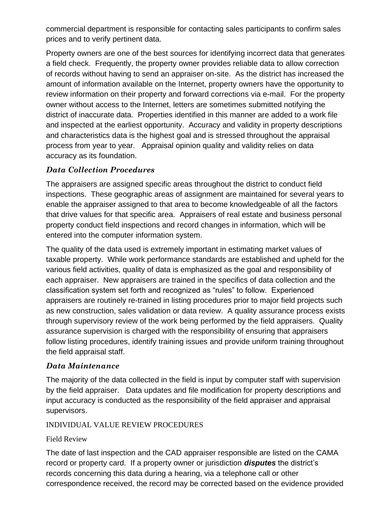commercial department is responsible for contacting sales participants to confirm sales prices and to verify pertinent data.

Property owners are one of the best sources for identifying incorrect data that generates a field check. Frequently, the property owner provides reliable data to allow correction of records without having to send an appraiser on-site. As the district has increased the amount of information available on the Internet, property owners have the opportunity to review information on their property and forward corrections via e-mail. For the property owner without access to the Internet, letters are sometimes submitted notifying the district of inaccurate data. Properties identified in this manner are added to a work file and inspected at the earliest opportunity. Accuracy and validity in property descriptions and characteristics data is the highest goal and is stressed throughout the appraisal process from year to year. Appraisal opinion quality and validity relies on data accuracy as its foundation.

#### *Data Collection Procedures*

The appraisers are assigned specific areas throughout the district to conduct field inspections. These geographic areas of assignment are maintained for several years to enable the appraiser assigned to that area to become knowledgeable of all the factors that drive values for that specific area. Appraisers of real estate and business personal property conduct field inspections and record changes in information, which will be entered into the computer information system.

The quality of the data used is extremely important in estimating market values of taxable property. While work performance standards are established and upheld for the various field activities, quality of data is emphasized as the goal and responsibility of each appraiser. New appraisers are trained in the specifics of data collection and the classification system set forth and recognized as "rules" to follow. Experienced appraisers are routinely re-trained in listing procedures prior to major field projects such as new construction, sales validation or data review. A quality assurance process exists through supervisory review of the work being performed by the field appraisers. Quality assurance supervision is charged with the responsibility of ensuring that appraisers follow listing procedures, identify training issues and provide uniform training throughout the field appraisal staff.

#### *Data Maintenance*

The majority of the data collected in the field is input by computer staff with supervision by the field appraiser. Data updates and file modification for property descriptions and input accuracy is conducted as the responsibility of the field appraiser and appraisal supervisors.

#### INDIVIDUAL VALUE REVIEW PROCEDURES

#### Field Review

The date of last inspection and the CAD appraiser responsible are listed on the CAMA record or property card. If a property owner or jurisdiction *disputes* the district's records concerning this data during a hearing, via a telephone call or other correspondence received, the record may be corrected based on the evidence provided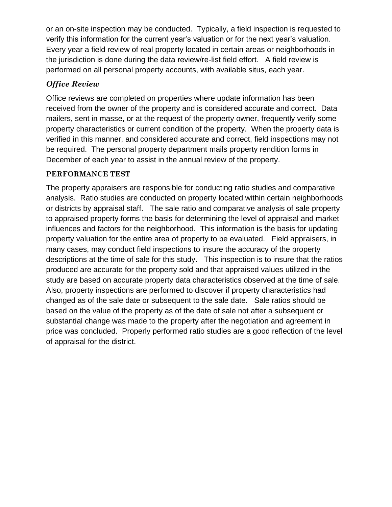or an on-site inspection may be conducted. Typically, a field inspection is requested to verify this information for the current year's valuation or for the next year's valuation. Every year a field review of real property located in certain areas or neighborhoods in the jurisdiction is done during the data review/re-list field effort. A field review is performed on all personal property accounts, with available situs, each year.

#### *Office Review*

Office reviews are completed on properties where update information has been received from the owner of the property and is considered accurate and correct. Data mailers, sent in masse, or at the request of the property owner, frequently verify some property characteristics or current condition of the property. When the property data is verified in this manner, and considered accurate and correct, field inspections may not be required. The personal property department mails property rendition forms in December of each year to assist in the annual review of the property.

#### **PERFORMANCE TEST**

The property appraisers are responsible for conducting ratio studies and comparative analysis. Ratio studies are conducted on property located within certain neighborhoods or districts by appraisal staff. The sale ratio and comparative analysis of sale property to appraised property forms the basis for determining the level of appraisal and market influences and factors for the neighborhood. This information is the basis for updating property valuation for the entire area of property to be evaluated. Field appraisers, in many cases, may conduct field inspections to insure the accuracy of the property descriptions at the time of sale for this study. This inspection is to insure that the ratios produced are accurate for the property sold and that appraised values utilized in the study are based on accurate property data characteristics observed at the time of sale. Also, property inspections are performed to discover if property characteristics had changed as of the sale date or subsequent to the sale date. Sale ratios should be based on the value of the property as of the date of sale not after a subsequent or substantial change was made to the property after the negotiation and agreement in price was concluded. Properly performed ratio studies are a good reflection of the level of appraisal for the district.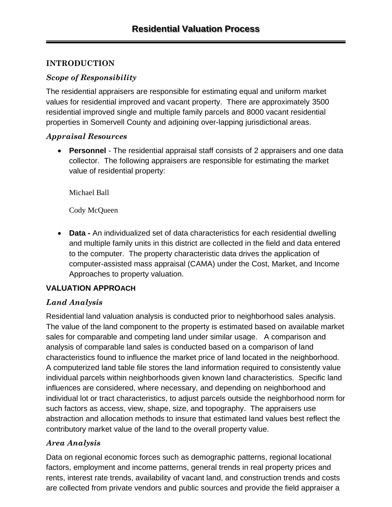# **INTRODUCTION**

# *Scope of Responsibility*

The residential appraisers are responsible for estimating equal and uniform market values for residential improved and vacant property. There are approximately 3500 residential improved single and multiple family parcels and 8000 vacant residential properties in Somervell County and adjoining over-lapping jurisdictional areas.

#### *Appraisal Resources*

• **Personnel** *-* The residential appraisal staff consists of 2 appraisers and one data collector. The following appraisers are responsible for estimating the market value of residential property:

Michael Ball

Cody McQueen

• **Data -** An individualized set of data characteristics for each residential dwelling and multiple family units in this district are collected in the field and data entered to the computer. The property characteristic data drives the application of computer-assisted mass appraisal (CAMA) under the Cost, Market, and Income Approaches to property valuation.

#### **VALUATION APPROACH**

# *Land Analysis*

Residential land valuation analysis is conducted prior to neighborhood sales analysis. The value of the land component to the property is estimated based on available market sales for comparable and competing land under similar usage. A comparison and analysis of comparable land sales is conducted based on a comparison of land characteristics found to influence the market price of land located in the neighborhood. A computerized land table file stores the land information required to consistently value individual parcels within neighborhoods given known land characteristics. Specific land influences are considered, where necessary, and depending on neighborhood and individual lot or tract characteristics, to adjust parcels outside the neighborhood norm for such factors as access, view, shape, size, and topography. The appraisers use abstraction and allocation methods to insure that estimated land values best reflect the contributory market value of the land to the overall property value.

# *Area Analysis*

Data on regional economic forces such as demographic patterns, regional locational factors, employment and income patterns, general trends in real property prices and rents, interest rate trends, availability of vacant land, and construction trends and costs are collected from private vendors and public sources and provide the field appraiser a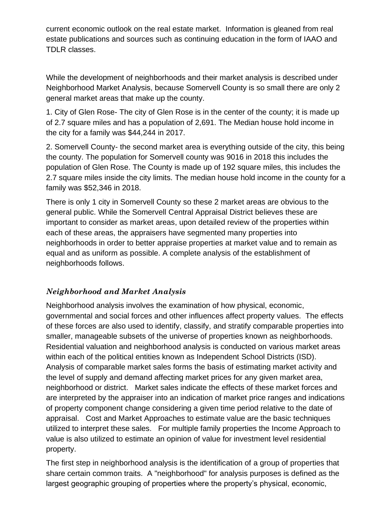current economic outlook on the real estate market. Information is gleaned from real estate publications and sources such as continuing education in the form of IAAO and TDLR classes.

While the development of neighborhoods and their market analysis is described under Neighborhood Market Analysis, because Somervell County is so small there are only 2 general market areas that make up the county.

1. City of Glen Rose- The city of Glen Rose is in the center of the county; it is made up of 2.7 square miles and has a population of 2,691. The Median house hold income in the city for a family was \$44,244 in 2017.

2. Somervell County- the second market area is everything outside of the city, this being the county. The population for Somervell county was 9016 in 2018 this includes the population of Glen Rose. The County is made up of 192 square miles, this includes the 2.7 square miles inside the city limits. The median house hold income in the county for a family was \$52,346 in 2018.

There is only 1 city in Somervell County so these 2 market areas are obvious to the general public. While the Somervell Central Appraisal District believes these are important to consider as market areas, upon detailed review of the properties within each of these areas, the appraisers have segmented many properties into neighborhoods in order to better appraise properties at market value and to remain as equal and as uniform as possible. A complete analysis of the establishment of neighborhoods follows.

# *Neighborhood and Market Analysis*

Neighborhood analysis involves the examination of how physical, economic, governmental and social forces and other influences affect property values. The effects of these forces are also used to identify, classify, and stratify comparable properties into smaller, manageable subsets of the universe of properties known as neighborhoods. Residential valuation and neighborhood analysis is conducted on various market areas within each of the political entities known as Independent School Districts (ISD). Analysis of comparable market sales forms the basis of estimating market activity and the level of supply and demand affecting market prices for any given market area, neighborhood or district. Market sales indicate the effects of these market forces and are interpreted by the appraiser into an indication of market price ranges and indications of property component change considering a given time period relative to the date of appraisal. Cost and Market Approaches to estimate value are the basic techniques utilized to interpret these sales. For multiple family properties the Income Approach to value is also utilized to estimate an opinion of value for investment level residential property.

The first step in neighborhood analysis is the identification of a group of properties that share certain common traits. A "neighborhood" for analysis purposes is defined as the largest geographic grouping of properties where the property's physical, economic,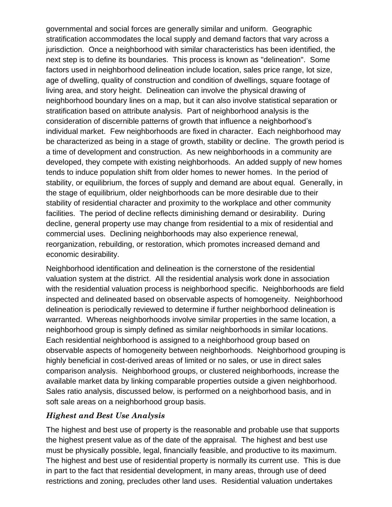governmental and social forces are generally similar and uniform. Geographic stratification accommodates the local supply and demand factors that vary across a jurisdiction. Once a neighborhood with similar characteristics has been identified, the next step is to define its boundaries. This process is known as "delineation". Some factors used in neighborhood delineation include location, sales price range, lot size, age of dwelling, quality of construction and condition of dwellings, square footage of living area, and story height. Delineation can involve the physical drawing of neighborhood boundary lines on a map, but it can also involve statistical separation or stratification based on attribute analysis. Part of neighborhood analysis is the consideration of discernible patterns of growth that influence a neighborhood's individual market. Few neighborhoods are fixed in character. Each neighborhood may be characterized as being in a stage of growth, stability or decline. The growth period is a time of development and construction. As new neighborhoods in a community are developed, they compete with existing neighborhoods. An added supply of new homes tends to induce population shift from older homes to newer homes. In the period of stability, or equilibrium, the forces of supply and demand are about equal. Generally, in the stage of equilibrium, older neighborhoods can be more desirable due to their stability of residential character and proximity to the workplace and other community facilities. The period of decline reflects diminishing demand or desirability. During decline, general property use may change from residential to a mix of residential and commercial uses. Declining neighborhoods may also experience renewal, reorganization, rebuilding, or restoration, which promotes increased demand and economic desirability.

Neighborhood identification and delineation is the cornerstone of the residential valuation system at the district. All the residential analysis work done in association with the residential valuation process is neighborhood specific. Neighborhoods are field inspected and delineated based on observable aspects of homogeneity. Neighborhood delineation is periodically reviewed to determine if further neighborhood delineation is warranted. Whereas neighborhoods involve similar properties in the same location, a neighborhood group is simply defined as similar neighborhoods in similar locations. Each residential neighborhood is assigned to a neighborhood group based on observable aspects of homogeneity between neighborhoods. Neighborhood grouping is highly beneficial in cost-derived areas of limited or no sales, or use in direct sales comparison analysis. Neighborhood groups, or clustered neighborhoods, increase the available market data by linking comparable properties outside a given neighborhood. Sales ratio analysis, discussed below, is performed on a neighborhood basis, and in soft sale areas on a neighborhood group basis.

#### *Highest and Best Use Analysis*

The highest and best use of property is the reasonable and probable use that supports the highest present value as of the date of the appraisal. The highest and best use must be physically possible, legal, financially feasible, and productive to its maximum. The highest and best use of residential property is normally its current use. This is due in part to the fact that residential development, in many areas, through use of deed restrictions and zoning, precludes other land uses. Residential valuation undertakes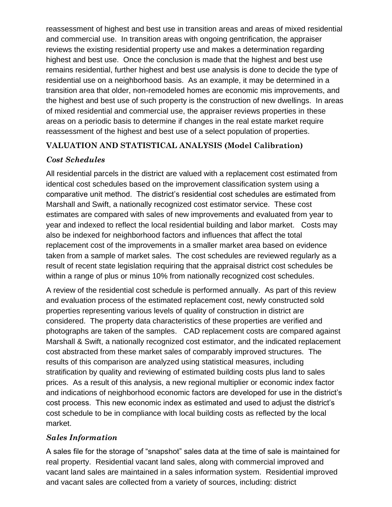reassessment of highest and best use in transition areas and areas of mixed residential and commercial use. In transition areas with ongoing gentrification, the appraiser reviews the existing residential property use and makes a determination regarding highest and best use. Once the conclusion is made that the highest and best use remains residential, further highest and best use analysis is done to decide the type of residential use on a neighborhood basis. As an example, it may be determined in a transition area that older, non-remodeled homes are economic mis improvements, and the highest and best use of such property is the construction of new dwellings. In areas of mixed residential and commercial use, the appraiser reviews properties in these areas on a periodic basis to determine if changes in the real estate market require reassessment of the highest and best use of a select population of properties.

# **VALUATION AND STATISTICAL ANALYSIS (Model Calibration)**

# *Cost Schedules*

All residential parcels in the district are valued with a replacement cost estimated from identical cost schedules based on the improvement classification system using a comparative unit method. The district's residential cost schedules are estimated from Marshall and Swift, a nationally recognized cost estimator service. These cost estimates are compared with sales of new improvements and evaluated from year to year and indexed to reflect the local residential building and labor market. Costs may also be indexed for neighborhood factors and influences that affect the total replacement cost of the improvements in a smaller market area based on evidence taken from a sample of market sales. The cost schedules are reviewed regularly as a result of recent state legislation requiring that the appraisal district cost schedules be within a range of plus or minus 10% from nationally recognized cost schedules.

A review of the residential cost schedule is performed annually. As part of this review and evaluation process of the estimated replacement cost, newly constructed sold properties representing various levels of quality of construction in district are considered. The property data characteristics of these properties are verified and photographs are taken of the samples. CAD replacement costs are compared against Marshall & Swift, a nationally recognized cost estimator, and the indicated replacement cost abstracted from these market sales of comparably improved structures. The results of this comparison are analyzed using statistical measures, including stratification by quality and reviewing of estimated building costs plus land to sales prices. As a result of this analysis, a new regional multiplier or economic index factor and indications of neighborhood economic factors are developed for use in the district's cost process. This new economic index as estimated and used to adjust the district's cost schedule to be in compliance with local building costs as reflected by the local market.

# *Sales Information*

A sales file for the storage of "snapshot" sales data at the time of sale is maintained for real property. Residential vacant land sales, along with commercial improved and vacant land sales are maintained in a sales information system. Residential improved and vacant sales are collected from a variety of sources, including: district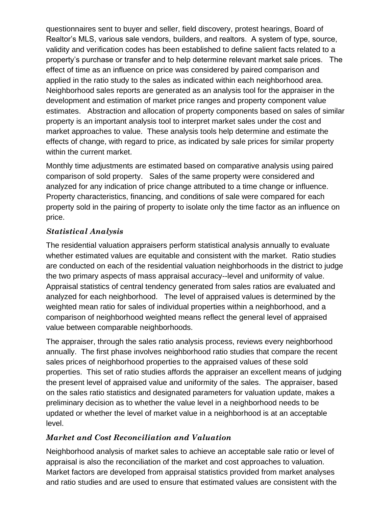questionnaires sent to buyer and seller, field discovery, protest hearings, Board of Realtor's MLS, various sale vendors, builders, and realtors. A system of type, source, validity and verification codes has been established to define salient facts related to a property's purchase or transfer and to help determine relevant market sale prices. The effect of time as an influence on price was considered by paired comparison and applied in the ratio study to the sales as indicated within each neighborhood area. Neighborhood sales reports are generated as an analysis tool for the appraiser in the development and estimation of market price ranges and property component value estimates. Abstraction and allocation of property components based on sales of similar property is an important analysis tool to interpret market sales under the cost and market approaches to value. These analysis tools help determine and estimate the effects of change, with regard to price, as indicated by sale prices for similar property within the current market.

Monthly time adjustments are estimated based on comparative analysis using paired comparison of sold property. Sales of the same property were considered and analyzed for any indication of price change attributed to a time change or influence. Property characteristics, financing, and conditions of sale were compared for each property sold in the pairing of property to isolate only the time factor as an influence on price.

# *Statistical Analysis*

The residential valuation appraisers perform statistical analysis annually to evaluate whether estimated values are equitable and consistent with the market. Ratio studies are conducted on each of the residential valuation neighborhoods in the district to judge the two primary aspects of mass appraisal accuracy--level and uniformity of value. Appraisal statistics of central tendency generated from sales ratios are evaluated and analyzed for each neighborhood. The level of appraised values is determined by the weighted mean ratio for sales of individual properties within a neighborhood, and a comparison of neighborhood weighted means reflect the general level of appraised value between comparable neighborhoods.

The appraiser, through the sales ratio analysis process, reviews every neighborhood annually. The first phase involves neighborhood ratio studies that compare the recent sales prices of neighborhood properties to the appraised values of these sold properties. This set of ratio studies affords the appraiser an excellent means of judging the present level of appraised value and uniformity of the sales. The appraiser, based on the sales ratio statistics and designated parameters for valuation update, makes a preliminary decision as to whether the value level in a neighborhood needs to be updated or whether the level of market value in a neighborhood is at an acceptable level.

# *Market and Cost Reconciliation and Valuation*

Neighborhood analysis of market sales to achieve an acceptable sale ratio or level of appraisal is also the reconciliation of the market and cost approaches to valuation. Market factors are developed from appraisal statistics provided from market analyses and ratio studies and are used to ensure that estimated values are consistent with the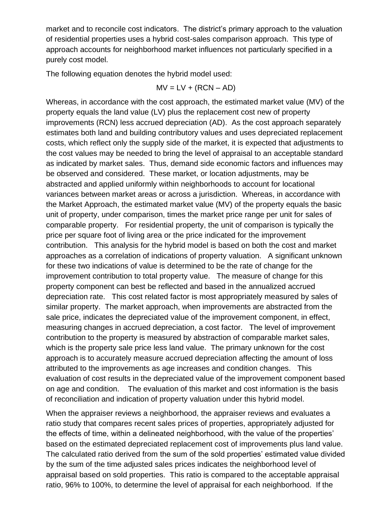market and to reconcile cost indicators. The district's primary approach to the valuation of residential properties uses a hybrid cost-sales comparison approach. This type of approach accounts for neighborhood market influences not particularly specified in a purely cost model.

The following equation denotes the hybrid model used:

$$
MV = LV + (RCN - AD)
$$

Whereas, in accordance with the cost approach, the estimated market value (MV) of the property equals the land value (LV) plus the replacement cost new of property improvements (RCN) less accrued depreciation (AD). As the cost approach separately estimates both land and building contributory values and uses depreciated replacement costs, which reflect only the supply side of the market, it is expected that adjustments to the cost values may be needed to bring the level of appraisal to an acceptable standard as indicated by market sales. Thus, demand side economic factors and influences may be observed and considered. These market, or location adjustments, may be abstracted and applied uniformly within neighborhoods to account for locational variances between market areas or across a jurisdiction. Whereas, in accordance with the Market Approach, the estimated market value (MV) of the property equals the basic unit of property, under comparison, times the market price range per unit for sales of comparable property. For residential property, the unit of comparison is typically the price per square foot of living area or the price indicated for the improvement contribution. This analysis for the hybrid model is based on both the cost and market approaches as a correlation of indications of property valuation. A significant unknown for these two indications of value is determined to be the rate of change for the improvement contribution to total property value. The measure of change for this property component can best be reflected and based in the annualized accrued depreciation rate. This cost related factor is most appropriately measured by sales of similar property. The market approach, when improvements are abstracted from the sale price, indicates the depreciated value of the improvement component, in effect, measuring changes in accrued depreciation, a cost factor. The level of improvement contribution to the property is measured by abstraction of comparable market sales, which is the property sale price less land value. The primary unknown for the cost approach is to accurately measure accrued depreciation affecting the amount of loss attributed to the improvements as age increases and condition changes. This evaluation of cost results in the depreciated value of the improvement component based on age and condition. The evaluation of this market and cost information is the basis of reconciliation and indication of property valuation under this hybrid model.

When the appraiser reviews a neighborhood, the appraiser reviews and evaluates a ratio study that compares recent sales prices of properties, appropriately adjusted for the effects of time, within a delineated neighborhood, with the value of the properties' based on the estimated depreciated replacement cost of improvements plus land value. The calculated ratio derived from the sum of the sold properties' estimated value divided by the sum of the time adjusted sales prices indicates the neighborhood level of appraisal based on sold properties. This ratio is compared to the acceptable appraisal ratio, 96% to 100%, to determine the level of appraisal for each neighborhood. If the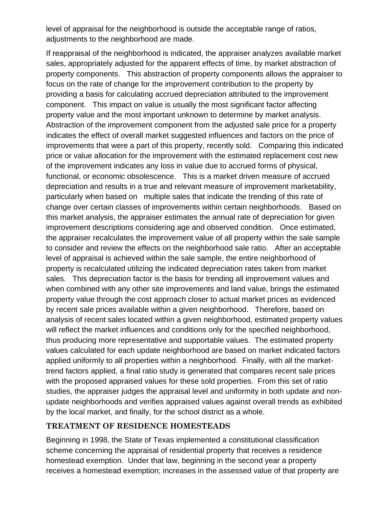level of appraisal for the neighborhood is outside the acceptable range of ratios, adjustments to the neighborhood are made.

If reappraisal of the neighborhood is indicated, the appraiser analyzes available market sales, appropriately adjusted for the apparent effects of time, by market abstraction of property components. This abstraction of property components allows the appraiser to focus on the rate of change for the improvement contribution to the property by providing a basis for calculating accrued depreciation attributed to the improvement component. This impact on value is usually the most significant factor affecting property value and the most important unknown to determine by market analysis. Abstraction of the improvement component from the adjusted sale price for a property indicates the effect of overall market suggested influences and factors on the price of improvements that were a part of this property, recently sold. Comparing this indicated price or value allocation for the improvement with the estimated replacement cost new of the improvement indicates any loss in value due to accrued forms of physical, functional, or economic obsolescence. This is a market driven measure of accrued depreciation and results in a true and relevant measure of improvement marketability, particularly when based on multiple sales that indicate the trending of this rate of change over certain classes of improvements within certain neighborhoods. Based on this market analysis, the appraiser estimates the annual rate of depreciation for given improvement descriptions considering age and observed condition. Once estimated, the appraiser recalculates the improvement value of all property within the sale sample to consider and review the effects on the neighborhood sale ratio. After an acceptable level of appraisal is achieved within the sale sample, the entire neighborhood of property is recalculated utilizing the indicated depreciation rates taken from market sales. This depreciation factor is the basis for trending all improvement values and when combined with any other site improvements and land value, brings the estimated property value through the cost approach closer to actual market prices as evidenced by recent sale prices available within a given neighborhood. Therefore, based on analysis of recent sales located within a given neighborhood, estimated property values will reflect the market influences and conditions only for the specified neighborhood, thus producing more representative and supportable values. The estimated property values calculated for each update neighborhood are based on market indicated factors applied uniformly to all properties within a neighborhood. Finally, with all the markettrend factors applied, a final ratio study is generated that compares recent sale prices with the proposed appraised values for these sold properties. From this set of ratio studies, the appraiser judges the appraisal level and uniformity in both update and nonupdate neighborhoods and verifies appraised values against overall trends as exhibited by the local market, and finally, for the school district as a whole.

#### **TREATMENT OF RESIDENCE HOMESTEADS**

Beginning in 1998, the State of Texas implemented a constitutional classification scheme concerning the appraisal of residential property that receives a residence homestead exemption. Under that law, beginning in the second year a property receives a homestead exemption; increases in the assessed value of that property are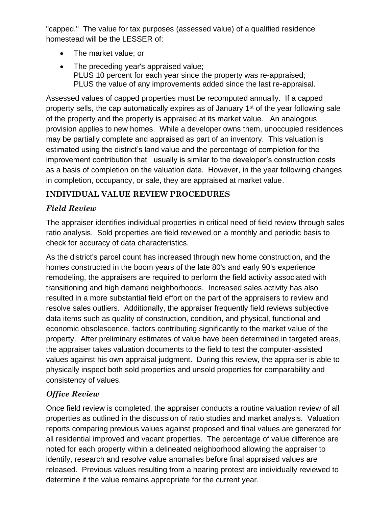"capped." The value for tax purposes (assessed value) of a qualified residence homestead will be the LESSER of:

- The market value; or
- The preceding year's appraised value; PLUS 10 percent for each year since the property was re-appraised; PLUS the value of any improvements added since the last re-appraisal.

Assessed values of capped properties must be recomputed annually. If a capped property sells, the cap automatically expires as of January 1<sup>st</sup> of the year following sale of the property and the property is appraised at its market value. An analogous provision applies to new homes. While a developer owns them, unoccupied residences may be partially complete and appraised as part of an inventory. This valuation is estimated using the district's land value and the percentage of completion for the improvement contribution that usually is similar to the developer's construction costs as a basis of completion on the valuation date. However, in the year following changes in completion, occupancy, or sale, they are appraised at market value.

# **INDIVIDUAL VALUE REVIEW PROCEDURES**

# *Field Review*

The appraiser identifies individual properties in critical need of field review through sales ratio analysis. Sold properties are field reviewed on a monthly and periodic basis to check for accuracy of data characteristics.

As the district's parcel count has increased through new home construction, and the homes constructed in the boom years of the late 80's and early 90's experience remodeling, the appraisers are required to perform the field activity associated with transitioning and high demand neighborhoods. Increased sales activity has also resulted in a more substantial field effort on the part of the appraisers to review and resolve sales outliers. Additionally, the appraiser frequently field reviews subjective data items such as quality of construction, condition, and physical, functional and economic obsolescence, factors contributing significantly to the market value of the property. After preliminary estimates of value have been determined in targeted areas, the appraiser takes valuation documents to the field to test the computer-assisted values against his own appraisal judgment. During this review, the appraiser is able to physically inspect both sold properties and unsold properties for comparability and consistency of values.

# *Office Review*

Once field review is completed, the appraiser conducts a routine valuation review of all properties as outlined in the discussion of ratio studies and market analysis. Valuation reports comparing previous values against proposed and final values are generated for all residential improved and vacant properties. The percentage of value difference are noted for each property within a delineated neighborhood allowing the appraiser to identify, research and resolve value anomalies before final appraised values are released. Previous values resulting from a hearing protest are individually reviewed to determine if the value remains appropriate for the current year.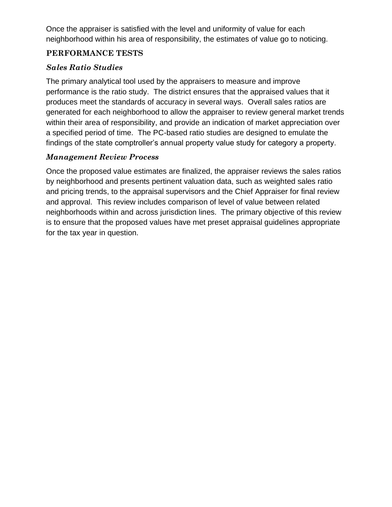Once the appraiser is satisfied with the level and uniformity of value for each neighborhood within his area of responsibility, the estimates of value go to noticing.

#### **PERFORMANCE TESTS**

### *Sales Ratio Studies*

The primary analytical tool used by the appraisers to measure and improve performance is the ratio study. The district ensures that the appraised values that it produces meet the standards of accuracy in several ways. Overall sales ratios are generated for each neighborhood to allow the appraiser to review general market trends within their area of responsibility, and provide an indication of market appreciation over a specified period of time. The PC-based ratio studies are designed to emulate the findings of the state comptroller's annual property value study for category a property.

#### *Management Review Process*

Once the proposed value estimates are finalized, the appraiser reviews the sales ratios by neighborhood and presents pertinent valuation data, such as weighted sales ratio and pricing trends, to the appraisal supervisors and the Chief Appraiser for final review and approval. This review includes comparison of level of value between related neighborhoods within and across jurisdiction lines. The primary objective of this review is to ensure that the proposed values have met preset appraisal guidelines appropriate for the tax year in question.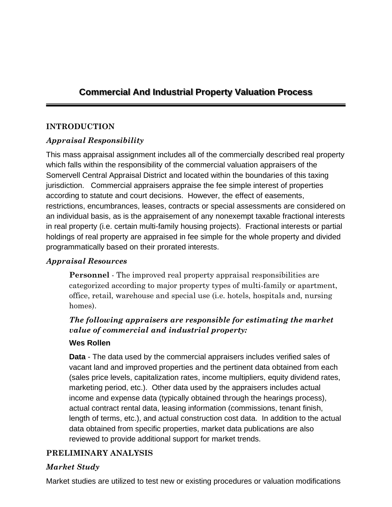# **Commercial And Industrial Property Valuation Process**

#### **INTRODUCTION**

# *Appraisal Responsibility*

This mass appraisal assignment includes all of the commercially described real property which falls within the responsibility of the commercial valuation appraisers of the Somervell Central Appraisal District and located within the boundaries of this taxing jurisdiction. Commercial appraisers appraise the fee simple interest of properties according to statute and court decisions. However, the effect of easements, restrictions, encumbrances, leases, contracts or special assessments are considered on an individual basis, as is the appraisement of any nonexempt taxable fractional interests in real property (i.e. certain multi-family housing projects). Fractional interests or partial holdings of real property are appraised in fee simple for the whole property and divided programmatically based on their prorated interests.

#### *Appraisal Resources*

**Personnel** - The improved real property appraisal responsibilities are categorized according to major property types of multi-family or apartment, office, retail, warehouse and special use (i.e. hotels, hospitals and, nursing homes).

# *The following appraisers are responsible for estimating the market value of commercial and industrial property:*

#### **Wes Rollen**

**Data** - The data used by the commercial appraisers includes verified sales of vacant land and improved properties and the pertinent data obtained from each (sales price levels, capitalization rates, income multipliers, equity dividend rates, marketing period, etc.). Other data used by the appraisers includes actual income and expense data (typically obtained through the hearings process), actual contract rental data, leasing information (commissions, tenant finish, length of terms, etc.), and actual construction cost data. In addition to the actual data obtained from specific properties, market data publications are also reviewed to provide additional support for market trends.

#### **PRELIMINARY ANALYSIS**

#### *Market Study*

Market studies are utilized to test new or existing procedures or valuation modifications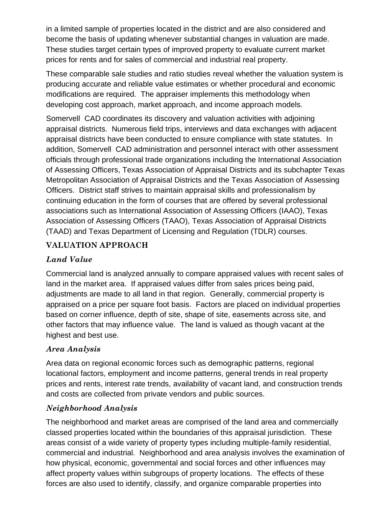in a limited sample of properties located in the district and are also considered and become the basis of updating whenever substantial changes in valuation are made. These studies target certain types of improved property to evaluate current market prices for rents and for sales of commercial and industrial real property.

These comparable sale studies and ratio studies reveal whether the valuation system is producing accurate and reliable value estimates or whether procedural and economic modifications are required. The appraiser implements this methodology when developing cost approach, market approach, and income approach models.

Somervell CAD coordinates its discovery and valuation activities with adjoining appraisal districts. Numerous field trips, interviews and data exchanges with adjacent appraisal districts have been conducted to ensure compliance with state statutes. In addition, Somervell CAD administration and personnel interact with other assessment officials through professional trade organizations including the International Association of Assessing Officers, Texas Association of Appraisal Districts and its subchapter Texas Metropolitan Association of Appraisal Districts and the Texas Association of Assessing Officers. District staff strives to maintain appraisal skills and professionalism by continuing education in the form of courses that are offered by several professional associations such as International Association of Assessing Officers (IAAO), Texas Association of Assessing Officers (TAAO), Texas Association of Appraisal Districts (TAAD) and Texas Department of Licensing and Regulation (TDLR) courses.

#### **VALUATION APPROACH**

# *Land Value*

Commercial land is analyzed annually to compare appraised values with recent sales of land in the market area. If appraised values differ from sales prices being paid, adjustments are made to all land in that region. Generally, commercial property is appraised on a price per square foot basis. Factors are placed on individual properties based on corner influence, depth of site, shape of site, easements across site, and other factors that may influence value. The land is valued as though vacant at the highest and best use.

#### *Area Analysis*

Area data on regional economic forces such as demographic patterns, regional locational factors, employment and income patterns, general trends in real property prices and rents, interest rate trends, availability of vacant land, and construction trends and costs are collected from private vendors and public sources.

#### *Neighborhood Analysis*

The neighborhood and market areas are comprised of the land area and commercially classed properties located within the boundaries of this appraisal jurisdiction. These areas consist of a wide variety of property types including multiple-family residential, commercial and industrial. Neighborhood and area analysis involves the examination of how physical, economic, governmental and social forces and other influences may affect property values within subgroups of property locations. The effects of these forces are also used to identify, classify, and organize comparable properties into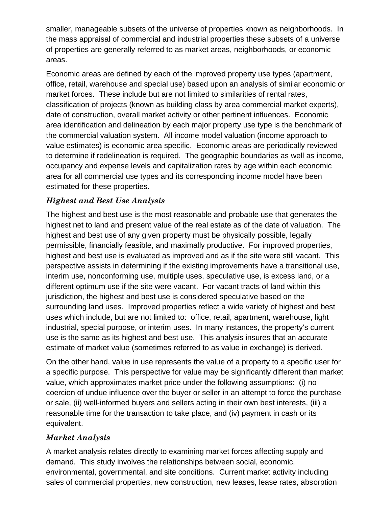smaller, manageable subsets of the universe of properties known as neighborhoods. In the mass appraisal of commercial and industrial properties these subsets of a universe of properties are generally referred to as market areas, neighborhoods, or economic areas.

Economic areas are defined by each of the improved property use types (apartment, office, retail, warehouse and special use) based upon an analysis of similar economic or market forces. These include but are not limited to similarities of rental rates, classification of projects (known as building class by area commercial market experts), date of construction, overall market activity or other pertinent influences. Economic area identification and delineation by each major property use type is the benchmark of the commercial valuation system. All income model valuation (income approach to value estimates) is economic area specific. Economic areas are periodically reviewed to determine if redelineation is required. The geographic boundaries as well as income, occupancy and expense levels and capitalization rates by age within each economic area for all commercial use types and its corresponding income model have been estimated for these properties.

#### *Highest and Best Use Analysis*

The highest and best use is the most reasonable and probable use that generates the highest net to land and present value of the real estate as of the date of valuation. The highest and best use of any given property must be physically possible, legally permissible, financially feasible, and maximally productive. For improved properties, highest and best use is evaluated as improved and as if the site were still vacant. This perspective assists in determining if the existing improvements have a transitional use, interim use, nonconforming use, multiple uses, speculative use, is excess land, or a different optimum use if the site were vacant. For vacant tracts of land within this jurisdiction, the highest and best use is considered speculative based on the surrounding land uses. Improved properties reflect a wide variety of highest and best uses which include, but are not limited to: office, retail, apartment, warehouse, light industrial, special purpose, or interim uses. In many instances, the property's current use is the same as its highest and best use. This analysis insures that an accurate estimate of market value (sometimes referred to as value in exchange) is derived.

On the other hand, value in use represents the value of a property to a specific user for a specific purpose. This perspective for value may be significantly different than market value, which approximates market price under the following assumptions: (i) no coercion of undue influence over the buyer or seller in an attempt to force the purchase or sale, (ii) well-informed buyers and sellers acting in their own best interests, (iii) a reasonable time for the transaction to take place, and (iv) payment in cash or its equivalent.

#### *Market Analysis*

A market analysis relates directly to examining market forces affecting supply and demand. This study involves the relationships between social, economic, environmental, governmental, and site conditions. Current market activity including sales of commercial properties, new construction, new leases, lease rates, absorption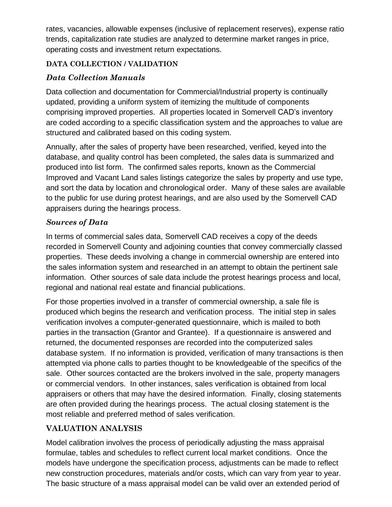rates, vacancies, allowable expenses (inclusive of replacement reserves), expense ratio trends, capitalization rate studies are analyzed to determine market ranges in price, operating costs and investment return expectations.

### **DATA COLLECTION / VALIDATION**

# *Data Collection Manuals*

Data collection and documentation for Commercial/Industrial property is continually updated, providing a uniform system of itemizing the multitude of components comprising improved properties. All properties located in Somervell CAD's inventory are coded according to a specific classification system and the approaches to value are structured and calibrated based on this coding system.

Annually, after the sales of property have been researched, verified, keyed into the database, and quality control has been completed, the sales data is summarized and produced into list form. The confirmed sales reports, known as the Commercial Improved and Vacant Land sales listings categorize the sales by property and use type, and sort the data by location and chronological order. Many of these sales are available to the public for use during protest hearings, and are also used by the Somervell CAD appraisers during the hearings process.

#### *Sources of Data*

In terms of commercial sales data, Somervell CAD receives a copy of the deeds recorded in Somervell County and adjoining counties that convey commercially classed properties. These deeds involving a change in commercial ownership are entered into the sales information system and researched in an attempt to obtain the pertinent sale information. Other sources of sale data include the protest hearings process and local, regional and national real estate and financial publications.

For those properties involved in a transfer of commercial ownership, a sale file is produced which begins the research and verification process. The initial step in sales verification involves a computer-generated questionnaire, which is mailed to both parties in the transaction (Grantor and Grantee). If a questionnaire is answered and returned, the documented responses are recorded into the computerized sales database system. If no information is provided, verification of many transactions is then attempted via phone calls to parties thought to be knowledgeable of the specifics of the sale. Other sources contacted are the brokers involved in the sale, property managers or commercial vendors. In other instances, sales verification is obtained from local appraisers or others that may have the desired information. Finally, closing statements are often provided during the hearings process. The actual closing statement is the most reliable and preferred method of sales verification.

# **VALUATION ANALYSIS**

Model calibration involves the process of periodically adjusting the mass appraisal formulae, tables and schedules to reflect current local market conditions. Once the models have undergone the specification process, adjustments can be made to reflect new construction procedures, materials and/or costs, which can vary from year to year. The basic structure of a mass appraisal model can be valid over an extended period of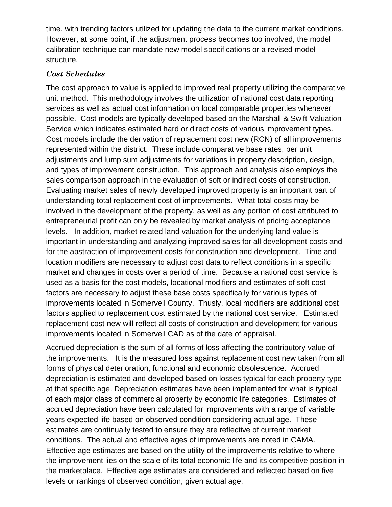time, with trending factors utilized for updating the data to the current market conditions. However, at some point, if the adjustment process becomes too involved, the model calibration technique can mandate new model specifications or a revised model structure.

#### *Cost Schedules*

The cost approach to value is applied to improved real property utilizing the comparative unit method. This methodology involves the utilization of national cost data reporting services as well as actual cost information on local comparable properties whenever possible. Cost models are typically developed based on the Marshall & Swift Valuation Service which indicates estimated hard or direct costs of various improvement types. Cost models include the derivation of replacement cost new (RCN) of all improvements represented within the district. These include comparative base rates, per unit adjustments and lump sum adjustments for variations in property description, design, and types of improvement construction. This approach and analysis also employs the sales comparison approach in the evaluation of soft or indirect costs of construction. Evaluating market sales of newly developed improved property is an important part of understanding total replacement cost of improvements. What total costs may be involved in the development of the property, as well as any portion of cost attributed to entrepreneurial profit can only be revealed by market analysis of pricing acceptance levels. In addition, market related land valuation for the underlying land value is important in understanding and analyzing improved sales for all development costs and for the abstraction of improvement costs for construction and development. Time and location modifiers are necessary to adjust cost data to reflect conditions in a specific market and changes in costs over a period of time. Because a national cost service is used as a basis for the cost models, locational modifiers and estimates of soft cost factors are necessary to adjust these base costs specifically for various types of improvements located in Somervell County. Thusly, local modifiers are additional cost factors applied to replacement cost estimated by the national cost service. Estimated replacement cost new will reflect all costs of construction and development for various improvements located in Somervell CAD as of the date of appraisal.

Accrued depreciation is the sum of all forms of loss affecting the contributory value of the improvements. It is the measured loss against replacement cost new taken from all forms of physical deterioration, functional and economic obsolescence. Accrued depreciation is estimated and developed based on losses typical for each property type at that specific age. Depreciation estimates have been implemented for what is typical of each major class of commercial property by economic life categories. Estimates of accrued depreciation have been calculated for improvements with a range of variable years expected life based on observed condition considering actual age. These estimates are continually tested to ensure they are reflective of current market conditions. The actual and effective ages of improvements are noted in CAMA. Effective age estimates are based on the utility of the improvements relative to where the improvement lies on the scale of its total economic life and its competitive position in the marketplace. Effective age estimates are considered and reflected based on five levels or rankings of observed condition, given actual age.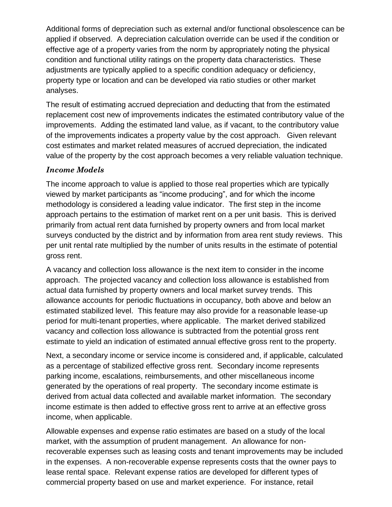Additional forms of depreciation such as external and/or functional obsolescence can be applied if observed. A depreciation calculation override can be used if the condition or effective age of a property varies from the norm by appropriately noting the physical condition and functional utility ratings on the property data characteristics. These adjustments are typically applied to a specific condition adequacy or deficiency, property type or location and can be developed via ratio studies or other market analyses.

The result of estimating accrued depreciation and deducting that from the estimated replacement cost new of improvements indicates the estimated contributory value of the improvements. Adding the estimated land value, as if vacant, to the contributory value of the improvements indicates a property value by the cost approach. Given relevant cost estimates and market related measures of accrued depreciation, the indicated value of the property by the cost approach becomes a very reliable valuation technique.

#### *Income Models*

The income approach to value is applied to those real properties which are typically viewed by market participants as "income producing", and for which the income methodology is considered a leading value indicator. The first step in the income approach pertains to the estimation of market rent on a per unit basis. This is derived primarily from actual rent data furnished by property owners and from local market surveys conducted by the district and by information from area rent study reviews. This per unit rental rate multiplied by the number of units results in the estimate of potential gross rent.

A vacancy and collection loss allowance is the next item to consider in the income approach. The projected vacancy and collection loss allowance is established from actual data furnished by property owners and local market survey trends. This allowance accounts for periodic fluctuations in occupancy, both above and below an estimated stabilized level. This feature may also provide for a reasonable lease-up period for multi-tenant properties, where applicable. The market derived stabilized vacancy and collection loss allowance is subtracted from the potential gross rent estimate to yield an indication of estimated annual effective gross rent to the property.

Next, a secondary income or service income is considered and, if applicable, calculated as a percentage of stabilized effective gross rent. Secondary income represents parking income, escalations, reimbursements, and other miscellaneous income generated by the operations of real property. The secondary income estimate is derived from actual data collected and available market information. The secondary income estimate is then added to effective gross rent to arrive at an effective gross income, when applicable.

Allowable expenses and expense ratio estimates are based on a study of the local market, with the assumption of prudent management. An allowance for nonrecoverable expenses such as leasing costs and tenant improvements may be included in the expenses. A non-recoverable expense represents costs that the owner pays to lease rental space. Relevant expense ratios are developed for different types of commercial property based on use and market experience. For instance, retail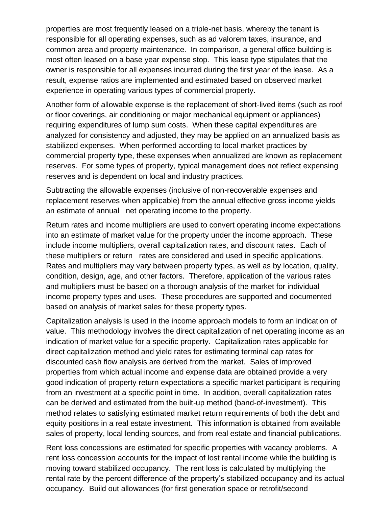properties are most frequently leased on a triple-net basis, whereby the tenant is responsible for all operating expenses, such as ad valorem taxes, insurance, and common area and property maintenance. In comparison, a general office building is most often leased on a base year expense stop. This lease type stipulates that the owner is responsible for all expenses incurred during the first year of the lease. As a result, expense ratios are implemented and estimated based on observed market experience in operating various types of commercial property.

Another form of allowable expense is the replacement of short-lived items (such as roof or floor coverings, air conditioning or major mechanical equipment or appliances) requiring expenditures of lump sum costs. When these capital expenditures are analyzed for consistency and adjusted, they may be applied on an annualized basis as stabilized expenses. When performed according to local market practices by commercial property type, these expenses when annualized are known as replacement reserves. For some types of property, typical management does not reflect expensing reserves and is dependent on local and industry practices.

Subtracting the allowable expenses (inclusive of non-recoverable expenses and replacement reserves when applicable) from the annual effective gross income yields an estimate of annual net operating income to the property.

Return rates and income multipliers are used to convert operating income expectations into an estimate of market value for the property under the income approach. These include income multipliers, overall capitalization rates, and discount rates. Each of these multipliers or return rates are considered and used in specific applications. Rates and multipliers may vary between property types, as well as by location, quality, condition, design, age, and other factors. Therefore, application of the various rates and multipliers must be based on a thorough analysis of the market for individual income property types and uses. These procedures are supported and documented based on analysis of market sales for these property types.

Capitalization analysis is used in the income approach models to form an indication of value. This methodology involves the direct capitalization of net operating income as an indication of market value for a specific property. Capitalization rates applicable for direct capitalization method and yield rates for estimating terminal cap rates for discounted cash flow analysis are derived from the market. Sales of improved properties from which actual income and expense data are obtained provide a very good indication of property return expectations a specific market participant is requiring from an investment at a specific point in time. In addition, overall capitalization rates can be derived and estimated from the built-up method (band-of-investment). This method relates to satisfying estimated market return requirements of both the debt and equity positions in a real estate investment. This information is obtained from available sales of property, local lending sources, and from real estate and financial publications.

Rent loss concessions are estimated for specific properties with vacancy problems. A rent loss concession accounts for the impact of lost rental income while the building is moving toward stabilized occupancy. The rent loss is calculated by multiplying the rental rate by the percent difference of the property's stabilized occupancy and its actual occupancy. Build out allowances (for first generation space or retrofit/second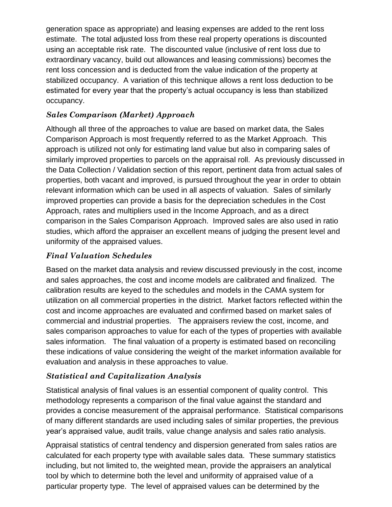generation space as appropriate) and leasing expenses are added to the rent loss estimate. The total adjusted loss from these real property operations is discounted using an acceptable risk rate. The discounted value (inclusive of rent loss due to extraordinary vacancy, build out allowances and leasing commissions) becomes the rent loss concession and is deducted from the value indication of the property at stabilized occupancy. A variation of this technique allows a rent loss deduction to be estimated for every year that the property's actual occupancy is less than stabilized occupancy.

### *Sales Comparison (Market) Approach*

Although all three of the approaches to value are based on market data, the Sales Comparison Approach is most frequently referred to as the Market Approach. This approach is utilized not only for estimating land value but also in comparing sales of similarly improved properties to parcels on the appraisal roll. As previously discussed in the Data Collection / Validation section of this report, pertinent data from actual sales of properties, both vacant and improved, is pursued throughout the year in order to obtain relevant information which can be used in all aspects of valuation. Sales of similarly improved properties can provide a basis for the depreciation schedules in the Cost Approach, rates and multipliers used in the Income Approach, and as a direct comparison in the Sales Comparison Approach. Improved sales are also used in ratio studies, which afford the appraiser an excellent means of judging the present level and uniformity of the appraised values.

#### *Final Valuation Schedules*

Based on the market data analysis and review discussed previously in the cost, income and sales approaches, the cost and income models are calibrated and finalized. The calibration results are keyed to the schedules and models in the CAMA system for utilization on all commercial properties in the district. Market factors reflected within the cost and income approaches are evaluated and confirmed based on market sales of commercial and industrial properties. The appraisers review the cost, income, and sales comparison approaches to value for each of the types of properties with available sales information. The final valuation of a property is estimated based on reconciling these indications of value considering the weight of the market information available for evaluation and analysis in these approaches to value.

# *Statistical and Capitalization Analysis*

Statistical analysis of final values is an essential component of quality control. This methodology represents a comparison of the final value against the standard and provides a concise measurement of the appraisal performance. Statistical comparisons of many different standards are used including sales of similar properties, the previous year's appraised value, audit trails, value change analysis and sales ratio analysis.

Appraisal statistics of central tendency and dispersion generated from sales ratios are calculated for each property type with available sales data. These summary statistics including, but not limited to, the weighted mean, provide the appraisers an analytical tool by which to determine both the level and uniformity of appraised value of a particular property type. The level of appraised values can be determined by the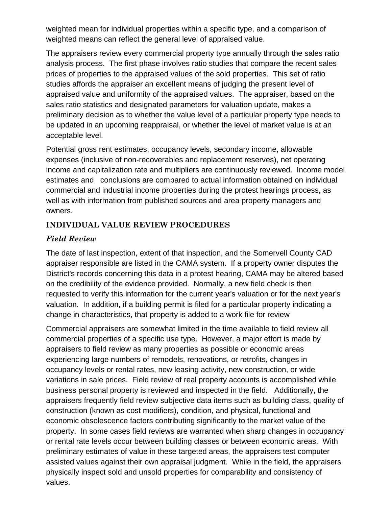weighted mean for individual properties within a specific type, and a comparison of weighted means can reflect the general level of appraised value.

The appraisers review every commercial property type annually through the sales ratio analysis process. The first phase involves ratio studies that compare the recent sales prices of properties to the appraised values of the sold properties. This set of ratio studies affords the appraiser an excellent means of judging the present level of appraised value and uniformity of the appraised values. The appraiser, based on the sales ratio statistics and designated parameters for valuation update, makes a preliminary decision as to whether the value level of a particular property type needs to be updated in an upcoming reappraisal, or whether the level of market value is at an acceptable level.

Potential gross rent estimates, occupancy levels, secondary income, allowable expenses (inclusive of non-recoverables and replacement reserves), net operating income and capitalization rate and multipliers are continuously reviewed. Income model estimates and conclusions are compared to actual information obtained on individual commercial and industrial income properties during the protest hearings process, as well as with information from published sources and area property managers and owners.

# **INDIVIDUAL VALUE REVIEW PROCEDURES**

#### *Field Review*

The date of last inspection, extent of that inspection, and the Somervell County CAD appraiser responsible are listed in the CAMA system. If a property owner disputes the District's records concerning this data in a protest hearing, CAMA may be altered based on the credibility of the evidence provided. Normally, a new field check is then requested to verify this information for the current year's valuation or for the next year's valuation. In addition, if a building permit is filed for a particular property indicating a change in characteristics, that property is added to a work file for review

Commercial appraisers are somewhat limited in the time available to field review all commercial properties of a specific use type. However, a major effort is made by appraisers to field review as many properties as possible or economic areas experiencing large numbers of remodels, renovations, or retrofits, changes in occupancy levels or rental rates, new leasing activity, new construction, or wide variations in sale prices. Field review of real property accounts is accomplished while business personal property is reviewed and inspected in the field. Additionally, the appraisers frequently field review subjective data items such as building class, quality of construction (known as cost modifiers), condition, and physical, functional and economic obsolescence factors contributing significantly to the market value of the property. In some cases field reviews are warranted when sharp changes in occupancy or rental rate levels occur between building classes or between economic areas. With preliminary estimates of value in these targeted areas, the appraisers test computer assisted values against their own appraisal judgment. While in the field, the appraisers physically inspect sold and unsold properties for comparability and consistency of values.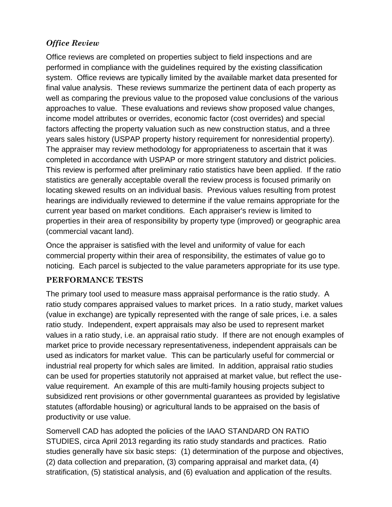# *Office Review*

Office reviews are completed on properties subject to field inspections and are performed in compliance with the guidelines required by the existing classification system. Office reviews are typically limited by the available market data presented for final value analysis. These reviews summarize the pertinent data of each property as well as comparing the previous value to the proposed value conclusions of the various approaches to value. These evaluations and reviews show proposed value changes, income model attributes or overrides, economic factor (cost overrides) and special factors affecting the property valuation such as new construction status, and a three years sales history (USPAP property history requirement for nonresidential property). The appraiser may review methodology for appropriateness to ascertain that it was completed in accordance with USPAP or more stringent statutory and district policies. This review is performed after preliminary ratio statistics have been applied. If the ratio statistics are generally acceptable overall the review process is focused primarily on locating skewed results on an individual basis. Previous values resulting from protest hearings are individually reviewed to determine if the value remains appropriate for the current year based on market conditions. Each appraiser's review is limited to properties in their area of responsibility by property type (improved) or geographic area (commercial vacant land).

Once the appraiser is satisfied with the level and uniformity of value for each commercial property within their area of responsibility, the estimates of value go to noticing. Each parcel is subjected to the value parameters appropriate for its use type.

# **PERFORMANCE TESTS**

The primary tool used to measure mass appraisal performance is the ratio study. A ratio study compares appraised values to market prices. In a ratio study, market values (value in exchange) are typically represented with the range of sale prices, i.e. a sales ratio study. Independent, expert appraisals may also be used to represent market values in a ratio study, i.e. an appraisal ratio study. If there are not enough examples of market price to provide necessary representativeness, independent appraisals can be used as indicators for market value. This can be particularly useful for commercial or industrial real property for which sales are limited. In addition, appraisal ratio studies can be used for properties statutorily not appraised at market value, but reflect the usevalue requirement. An example of this are multi-family housing projects subject to subsidized rent provisions or other governmental guarantees as provided by legislative statutes (affordable housing) or agricultural lands to be appraised on the basis of productivity or use value.

Somervell CAD has adopted the policies of the IAAO STANDARD ON RATIO STUDIES, circa April 2013 regarding its ratio study standards and practices. Ratio studies generally have six basic steps: (1) determination of the purpose and objectives, (2) data collection and preparation, (3) comparing appraisal and market data, (4) stratification, (5) statistical analysis, and (6) evaluation and application of the results.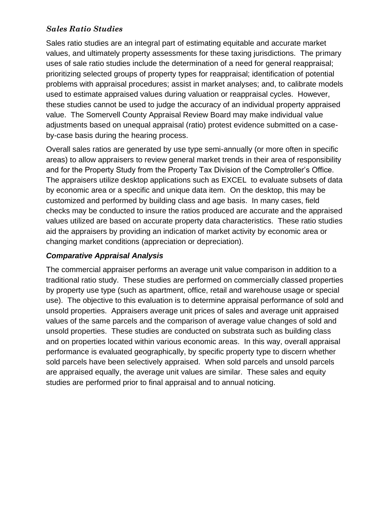# *Sales Ratio Studies*

Sales ratio studies are an integral part of estimating equitable and accurate market values, and ultimately property assessments for these taxing jurisdictions. The primary uses of sale ratio studies include the determination of a need for general reappraisal; prioritizing selected groups of property types for reappraisal; identification of potential problems with appraisal procedures; assist in market analyses; and, to calibrate models used to estimate appraised values during valuation or reappraisal cycles. However, these studies cannot be used to judge the accuracy of an individual property appraised value. The Somervell County Appraisal Review Board may make individual value adjustments based on unequal appraisal (ratio) protest evidence submitted on a caseby-case basis during the hearing process.

Overall sales ratios are generated by use type semi-annually (or more often in specific areas) to allow appraisers to review general market trends in their area of responsibility and for the Property Study from the Property Tax Division of the Comptroller's Office. The appraisers utilize desktop applications such as EXCEL to evaluate subsets of data by economic area or a specific and unique data item. On the desktop, this may be customized and performed by building class and age basis. In many cases, field checks may be conducted to insure the ratios produced are accurate and the appraised values utilized are based on accurate property data characteristics. These ratio studies aid the appraisers by providing an indication of market activity by economic area or changing market conditions (appreciation or depreciation).

### *Comparative Appraisal Analysis*

The commercial appraiser performs an average unit value comparison in addition to a traditional ratio study. These studies are performed on commercially classed properties by property use type (such as apartment, office, retail and warehouse usage or special use). The objective to this evaluation is to determine appraisal performance of sold and unsold properties. Appraisers average unit prices of sales and average unit appraised values of the same parcels and the comparison of average value changes of sold and unsold properties. These studies are conducted on substrata such as building class and on properties located within various economic areas. In this way, overall appraisal performance is evaluated geographically, by specific property type to discern whether sold parcels have been selectively appraised. When sold parcels and unsold parcels are appraised equally, the average unit values are similar. These sales and equity studies are performed prior to final appraisal and to annual noticing.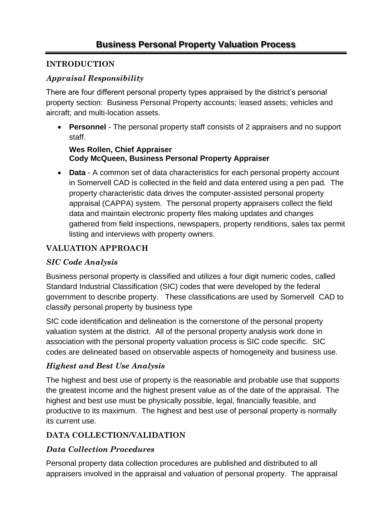# **INTRODUCTION**

# *Appraisal Responsibility*

There are four different personal property types appraised by the district's personal property section: Business Personal Property accounts; leased assets; vehicles and aircraft; and multi-location assets.

• **Personnel** *-* The personal property staff consists of 2 appraisers and no support staff.

#### **Wes Rollen, Chief Appraiser Cody McQueen, Business Personal Property Appraiser**

• **Data** - A common set of data characteristics for each personal property account in Somervell CAD is collected in the field and data entered using a pen pad. The property characteristic data drives the computer-assisted personal property appraisal (CAPPA) system. The personal property appraisers collect the field data and maintain electronic property files making updates and changes gathered from field inspections, newspapers, property renditions, sales tax permit listing and interviews with property owners.

# **VALUATION APPROACH**

# *SIC Code Analysis*

Business personal property is classified and utilizes a four digit numeric codes, called Standard Industrial Classification (SIC) codes that were developed by the federal government to describe property. These classifications are used by Somervell CAD to classify personal property by business type

SIC code identification and delineation is the cornerstone of the personal property valuation system at the district. All of the personal property analysis work done in association with the personal property valuation process is SIC code specific. SIC codes are delineated based on observable aspects of homogeneity and business use.

# *Highest and Best Use Analysis*

The highest and best use of property is the reasonable and probable use that supports the greatest income and the highest present value as of the date of the appraisal. The highest and best use must be physically possible, legal, financially feasible, and productive to its maximum. The highest and best use of personal property is normally its current use.

# **DATA COLLECTION/VALIDATION**

# *Data Collection Procedures*

Personal property data collection procedures are published and distributed to all appraisers involved in the appraisal and valuation of personal property. The appraisal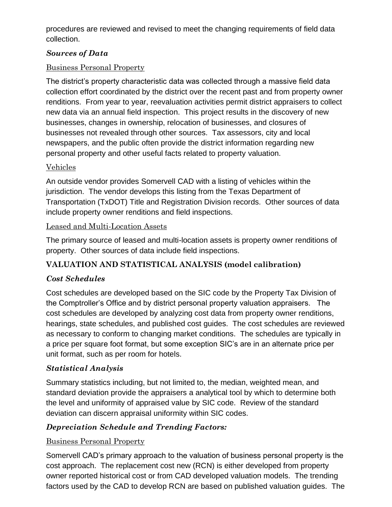procedures are reviewed and revised to meet the changing requirements of field data collection.

#### *Sources of Data*

#### Business Personal Property

The district's property characteristic data was collected through a massive field data collection effort coordinated by the district over the recent past and from property owner renditions. From year to year, reevaluation activities permit district appraisers to collect new data via an annual field inspection. This project results in the discovery of new businesses, changes in ownership, relocation of businesses, and closures of businesses not revealed through other sources. Tax assessors, city and local newspapers, and the public often provide the district information regarding new personal property and other useful facts related to property valuation.

#### Vehicles

An outside vendor provides Somervell CAD with a listing of vehicles within the jurisdiction. The vendor develops this listing from the Texas Department of Transportation (TxDOT) Title and Registration Division records. Other sources of data include property owner renditions and field inspections.

#### Leased and Multi-Location Assets

The primary source of leased and multi-location assets is property owner renditions of property. Other sources of data include field inspections.

# **VALUATION AND STATISTICAL ANALYSIS (model calibration)**

# *Cost Schedules*

Cost schedules are developed based on the SIC code by the Property Tax Division of the Comptroller's Office and by district personal property valuation appraisers. The cost schedules are developed by analyzing cost data from property owner renditions, hearings, state schedules, and published cost guides. The cost schedules are reviewed as necessary to conform to changing market conditions. The schedules are typically in a price per square foot format, but some exception SIC's are in an alternate price per unit format, such as per room for hotels.

# *Statistical Analysis*

Summary statistics including, but not limited to, the median, weighted mean, and standard deviation provide the appraisers a analytical tool by which to determine both the level and uniformity of appraised value by SIC code. Review of the standard deviation can discern appraisal uniformity within SIC codes.

# *Depreciation Schedule and Trending Factors:*

# Business Personal Property

Somervell CAD's primary approach to the valuation of business personal property is the cost approach. The replacement cost new (RCN) is either developed from property owner reported historical cost or from CAD developed valuation models. The trending factors used by the CAD to develop RCN are based on published valuation guides. The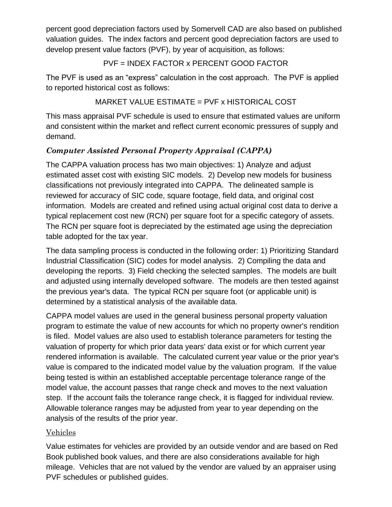percent good depreciation factors used by Somervell CAD are also based on published valuation guides. The index factors and percent good depreciation factors are used to develop present value factors (PVF), by year of acquisition, as follows:

#### PVF = INDEX FACTOR x PERCENT GOOD FACTOR

The PVF is used as an "express" calculation in the cost approach. The PVF is applied to reported historical cost as follows:

# MARKET VALUE ESTIMATE = PVF x HISTORICAL COST

This mass appraisal PVF schedule is used to ensure that estimated values are uniform and consistent within the market and reflect current economic pressures of supply and demand.

# *Computer Assisted Personal Property Appraisal (CAPPA)*

The CAPPA valuation process has two main objectives: 1) Analyze and adjust estimated asset cost with existing SIC models. 2) Develop new models for business classifications not previously integrated into CAPPA. The delineated sample is reviewed for accuracy of SIC code, square footage, field data, and original cost information. Models are created and refined using actual original cost data to derive a typical replacement cost new (RCN) per square foot for a specific category of assets. The RCN per square foot is depreciated by the estimated age using the depreciation table adopted for the tax year.

The data sampling process is conducted in the following order: 1) Prioritizing Standard Industrial Classification (SIC) codes for model analysis. 2) Compiling the data and developing the reports. 3) Field checking the selected samples. The models are built and adjusted using internally developed software. The models are then tested against the previous year's data. The typical RCN per square foot (or applicable unit) is determined by a statistical analysis of the available data.

CAPPA model values are used in the general business personal property valuation program to estimate the value of new accounts for which no property owner's rendition is filed. Model values are also used to establish tolerance parameters for testing the valuation of property for which prior data years' data exist or for which current year rendered information is available. The calculated current year value or the prior year's value is compared to the indicated model value by the valuation program. If the value being tested is within an established acceptable percentage tolerance range of the model value, the account passes that range check and moves to the next valuation step. If the account fails the tolerance range check, it is flagged for individual review. Allowable tolerance ranges may be adjusted from year to year depending on the analysis of the results of the prior year.

# Vehicles

Value estimates for vehicles are provided by an outside vendor and are based on Red Book published book values, and there are also considerations available for high mileage. Vehicles that are not valued by the vendor are valued by an appraiser using PVF schedules or published guides.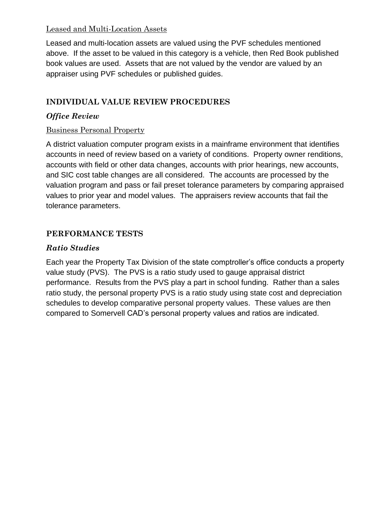# Leased and Multi-Location Assets

Leased and multi-location assets are valued using the PVF schedules mentioned above. If the asset to be valued in this category is a vehicle, then Red Book published book values are used. Assets that are not valued by the vendor are valued by an appraiser using PVF schedules or published guides.

# **INDIVIDUAL VALUE REVIEW PROCEDURES**

#### *Office Review*

#### Business Personal Property

A district valuation computer program exists in a mainframe environment that identifies accounts in need of review based on a variety of conditions. Property owner renditions, accounts with field or other data changes, accounts with prior hearings, new accounts, and SIC cost table changes are all considered. The accounts are processed by the valuation program and pass or fail preset tolerance parameters by comparing appraised values to prior year and model values. The appraisers review accounts that fail the tolerance parameters.

#### **PERFORMANCE TESTS**

#### *Ratio Studies*

Each year the Property Tax Division of the state comptroller's office conducts a property value study (PVS). The PVS is a ratio study used to gauge appraisal district performance. Results from the PVS play a part in school funding. Rather than a sales ratio study, the personal property PVS is a ratio study using state cost and depreciation schedules to develop comparative personal property values. These values are then compared to Somervell CAD's personal property values and ratios are indicated.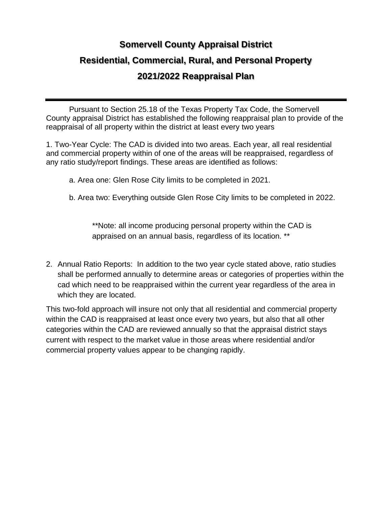# **Somervell County Appraisal District Residential, Commercial, Rural, and Personal Property 2021/2022 Reappraisal Plan**

Pursuant to Section 25.18 of the Texas Property Tax Code, the Somervell County appraisal District has established the following reappraisal plan to provide of the reappraisal of all property within the district at least every two years

1. Two-Year Cycle: The CAD is divided into two areas. Each year, all real residential and commercial property within of one of the areas will be reappraised, regardless of any ratio study/report findings. These areas are identified as follows:

a. Area one: Glen Rose City limits to be completed in 2021.

b. Area two: Everything outside Glen Rose City limits to be completed in 2022.

\*\*Note: all income producing personal property within the CAD is appraised on an annual basis, regardless of its location. \*\*

2. Annual Ratio Reports: In addition to the two year cycle stated above, ratio studies shall be performed annually to determine areas or categories of properties within the cad which need to be reappraised within the current year regardless of the area in which they are located.

This two-fold approach will insure not only that all residential and commercial property within the CAD is reappraised at least once every two years, but also that all other categories within the CAD are reviewed annually so that the appraisal district stays current with respect to the market value in those areas where residential and/or commercial property values appear to be changing rapidly.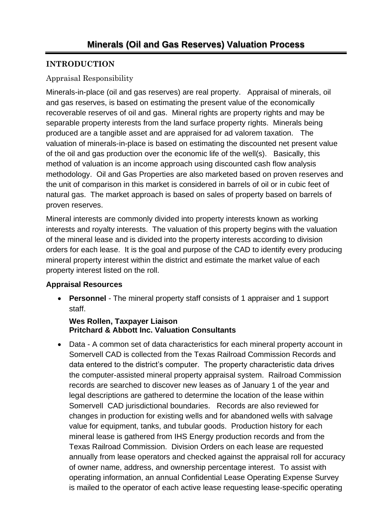# **INTRODUCTION**

#### Appraisal Responsibility

Minerals-in-place (oil and gas reserves) are real property. Appraisal of minerals, oil and gas reserves, is based on estimating the present value of the economically recoverable reserves of oil and gas. Mineral rights are property rights and may be separable property interests from the land surface property rights. Minerals being produced are a tangible asset and are appraised for ad valorem taxation. The valuation of minerals-in-place is based on estimating the discounted net present value of the oil and gas production over the economic life of the well(s). Basically, this method of valuation is an income approach using discounted cash flow analysis methodology. Oil and Gas Properties are also marketed based on proven reserves and the unit of comparison in this market is considered in barrels of oil or in cubic feet of natural gas. The market approach is based on sales of property based on barrels of proven reserves.

Mineral interests are commonly divided into property interests known as working interests and royalty interests. The valuation of this property begins with the valuation of the mineral lease and is divided into the property interests according to division orders for each lease. It is the goal and purpose of the CAD to identify every producing mineral property interest within the district and estimate the market value of each property interest listed on the roll.

#### **Appraisal Resources**

• **Personnel** *-* The mineral property staff consists of 1 appraiser and 1 support staff.

#### **Wes Rollen, Taxpayer Liaison Pritchard & Abbott Inc. Valuation Consultants**

• Data - A common set of data characteristics for each mineral property account in Somervell CAD is collected from the Texas Railroad Commission Records and data entered to the district's computer. The property characteristic data drives the computer-assisted mineral property appraisal system. Railroad Commission records are searched to discover new leases as of January 1 of the year and legal descriptions are gathered to determine the location of the lease within Somervell CAD jurisdictional boundaries. Records are also reviewed for changes in production for existing wells and for abandoned wells with salvage value for equipment, tanks, and tubular goods. Production history for each mineral lease is gathered from IHS Energy production records and from the Texas Railroad Commission. Division Orders on each lease are requested annually from lease operators and checked against the appraisal roll for accuracy of owner name, address, and ownership percentage interest. To assist with operating information, an annual Confidential Lease Operating Expense Survey is mailed to the operator of each active lease requesting lease-specific operating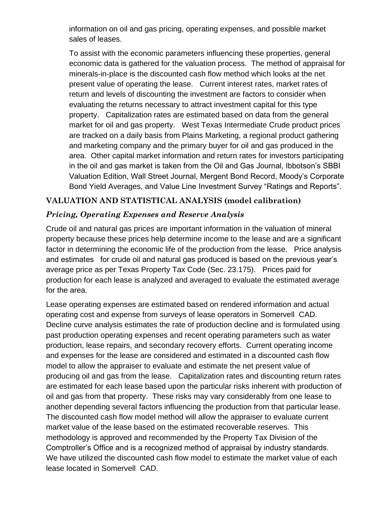information on oil and gas pricing, operating expenses, and possible market sales of leases.

To assist with the economic parameters influencing these properties, general economic data is gathered for the valuation process. The method of appraisal for minerals-in-place is the discounted cash flow method which looks at the net present value of operating the lease. Current interest rates, market rates of return and levels of discounting the investment are factors to consider when evaluating the returns necessary to attract investment capital for this type property. Capitalization rates are estimated based on data from the general market for oil and gas property. West Texas Intermediate Crude product prices are tracked on a daily basis from Plains Marketing, a regional product gathering and marketing company and the primary buyer for oil and gas produced in the area. Other capital market information and return rates for investors participating in the oil and gas market is taken from the Oil and Gas Journal, Ibbotson's SBBI Valuation Edition, Wall Street Journal, Mergent Bond Record, Moody's Corporate Bond Yield Averages, and Value Line Investment Survey "Ratings and Reports".

# **VALUATION AND STATISTICAL ANALYSIS (model calibration)**

#### *Pricing, Operating Expenses and Reserve Analysis*

Crude oil and natural gas prices are important information in the valuation of mineral property because these prices help determine income to the lease and are a significant factor in determining the economic life of the production from the lease. Price analysis and estimates for crude oil and natural gas produced is based on the previous year's average price as per Texas Property Tax Code (Sec. 23.175). Prices paid for production for each lease is analyzed and averaged to evaluate the estimated average for the area.

Lease operating expenses are estimated based on rendered information and actual operating cost and expense from surveys of lease operators in Somervell CAD. Decline curve analysis estimates the rate of production decline and is formulated using past production operating expenses and recent operating parameters such as water production, lease repairs, and secondary recovery efforts. Current operating income and expenses for the lease are considered and estimated in a discounted cash flow model to allow the appraiser to evaluate and estimate the net present value of producing oil and gas from the lease. Capitalization rates and discounting return rates are estimated for each lease based upon the particular risks inherent with production of oil and gas from that property. These risks may vary considerably from one lease to another depending several factors influencing the production from that particular lease. The discounted cash flow model method will allow the appraiser to evaluate current market value of the lease based on the estimated recoverable reserves. This methodology is approved and recommended by the Property Tax Division of the Comptroller's Office and is a recognized method of appraisal by industry standards. We have utilized the discounted cash flow model to estimate the market value of each lease located in Somervell CAD.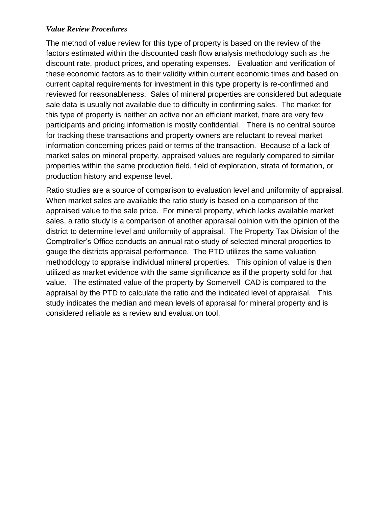#### *Value Review Procedures*

The method of value review for this type of property is based on the review of the factors estimated within the discounted cash flow analysis methodology such as the discount rate, product prices, and operating expenses. Evaluation and verification of these economic factors as to their validity within current economic times and based on current capital requirements for investment in this type property is re-confirmed and reviewed for reasonableness. Sales of mineral properties are considered but adequate sale data is usually not available due to difficulty in confirming sales. The market for this type of property is neither an active nor an efficient market, there are very few participants and pricing information is mostly confidential. There is no central source for tracking these transactions and property owners are reluctant to reveal market information concerning prices paid or terms of the transaction. Because of a lack of market sales on mineral property, appraised values are regularly compared to similar properties within the same production field, field of exploration, strata of formation, or production history and expense level.

Ratio studies are a source of comparison to evaluation level and uniformity of appraisal. When market sales are available the ratio study is based on a comparison of the appraised value to the sale price. For mineral property, which lacks available market sales, a ratio study is a comparison of another appraisal opinion with the opinion of the district to determine level and uniformity of appraisal. The Property Tax Division of the Comptroller's Office conducts an annual ratio study of selected mineral properties to gauge the districts appraisal performance. The PTD utilizes the same valuation methodology to appraise individual mineral properties. This opinion of value is then utilized as market evidence with the same significance as if the property sold for that value. The estimated value of the property by Somervell CAD is compared to the appraisal by the PTD to calculate the ratio and the indicated level of appraisal. This study indicates the median and mean levels of appraisal for mineral property and is considered reliable as a review and evaluation tool.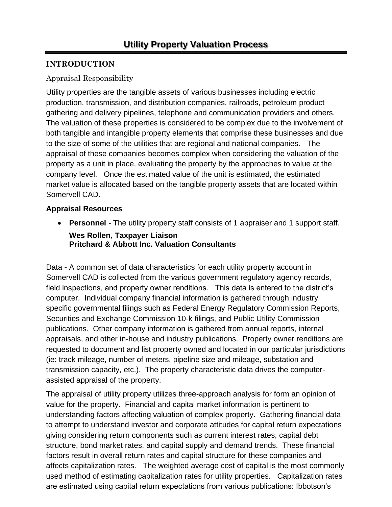# **INTRODUCTION**

#### Appraisal Responsibility

Utility properties are the tangible assets of various businesses including electric production, transmission, and distribution companies, railroads, petroleum product gathering and delivery pipelines, telephone and communication providers and others. The valuation of these properties is considered to be complex due to the involvement of both tangible and intangible property elements that comprise these businesses and due to the size of some of the utilities that are regional and national companies. The appraisal of these companies becomes complex when considering the valuation of the property as a unit in place, evaluating the property by the approaches to value at the company level. Once the estimated value of the unit is estimated, the estimated market value is allocated based on the tangible property assets that are located within Somervell CAD.

#### **Appraisal Resources**

• **Personnel** *-* The utility property staff consists of 1 appraiser and 1 support staff. **Wes Rollen, Taxpayer Liaison Pritchard & Abbott Inc. Valuation Consultants**

Data - A common set of data characteristics for each utility property account in Somervell CAD is collected from the various government regulatory agency records, field inspections, and property owner renditions. This data is entered to the district's computer. Individual company financial information is gathered through industry specific governmental filings such as Federal Energy Regulatory Commission Reports, Securities and Exchange Commission 10-k filings, and Public Utility Commission publications. Other company information is gathered from annual reports, internal appraisals, and other in-house and industry publications. Property owner renditions are requested to document and list property owned and located in our particular jurisdictions (ie: track mileage, number of meters, pipeline size and mileage, substation and transmission capacity, etc.). The property characteristic data drives the computerassisted appraisal of the property.

The appraisal of utility property utilizes three-approach analysis for form an opinion of value for the property. Financial and capital market information is pertinent to understanding factors affecting valuation of complex property. Gathering financial data to attempt to understand investor and corporate attitudes for capital return expectations giving considering return components such as current interest rates, capital debt structure, bond market rates, and capital supply and demand trends. These financial factors result in overall return rates and capital structure for these companies and affects capitalization rates. The weighted average cost of capital is the most commonly used method of estimating capitalization rates for utility properties. Capitalization rates are estimated using capital return expectations from various publications: Ibbotson's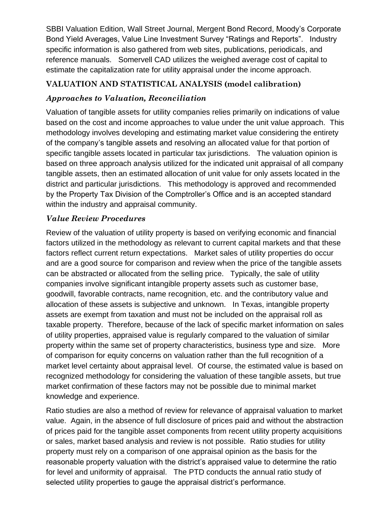SBBI Valuation Edition, Wall Street Journal, Mergent Bond Record, Moody's Corporate Bond Yield Averages, Value Line Investment Survey "Ratings and Reports". Industry specific information is also gathered from web sites, publications, periodicals, and reference manuals. Somervell CAD utilizes the weighed average cost of capital to estimate the capitalization rate for utility appraisal under the income approach.

# **VALUATION AND STATISTICAL ANALYSIS (model calibration)**

# *Approaches to Valuation, Reconciliation*

Valuation of tangible assets for utility companies relies primarily on indications of value based on the cost and income approaches to value under the unit value approach. This methodology involves developing and estimating market value considering the entirety of the company's tangible assets and resolving an allocated value for that portion of specific tangible assets located in particular tax jurisdictions. The valuation opinion is based on three approach analysis utilized for the indicated unit appraisal of all company tangible assets, then an estimated allocation of unit value for only assets located in the district and particular jurisdictions. This methodology is approved and recommended by the Property Tax Division of the Comptroller's Office and is an accepted standard within the industry and appraisal community.

#### *Value Review Procedures*

Review of the valuation of utility property is based on verifying economic and financial factors utilized in the methodology as relevant to current capital markets and that these factors reflect current return expectations. Market sales of utility properties do occur and are a good source for comparison and review when the price of the tangible assets can be abstracted or allocated from the selling price. Typically, the sale of utility companies involve significant intangible property assets such as customer base, goodwill, favorable contracts, name recognition, etc. and the contributory value and allocation of these assets is subjective and unknown. In Texas, intangible property assets are exempt from taxation and must not be included on the appraisal roll as taxable property. Therefore, because of the lack of specific market information on sales of utility properties, appraised value is regularly compared to the valuation of similar property within the same set of property characteristics, business type and size. More of comparison for equity concerns on valuation rather than the full recognition of a market level certainty about appraisal level. Of course, the estimated value is based on recognized methodology for considering the valuation of these tangible assets, but true market confirmation of these factors may not be possible due to minimal market knowledge and experience.

Ratio studies are also a method of review for relevance of appraisal valuation to market value. Again, in the absence of full disclosure of prices paid and without the abstraction of prices paid for the tangible asset components from recent utility property acquisitions or sales, market based analysis and review is not possible. Ratio studies for utility property must rely on a comparison of one appraisal opinion as the basis for the reasonable property valuation with the district's appraised value to determine the ratio for level and uniformity of appraisal. The PTD conducts the annual ratio study of selected utility properties to gauge the appraisal district's performance.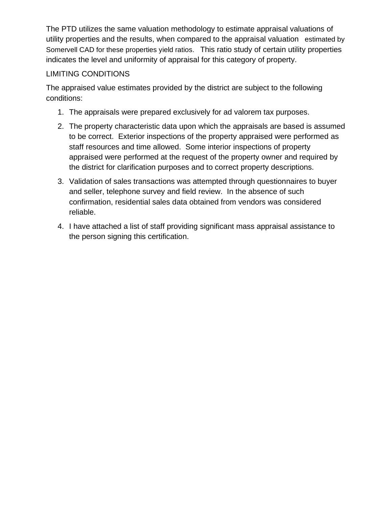The PTD utilizes the same valuation methodology to estimate appraisal valuations of utility properties and the results, when compared to the appraisal valuation estimated by Somervell CAD for these properties yield ratios. This ratio study of certain utility properties indicates the level and uniformity of appraisal for this category of property.

#### LIMITING CONDITIONS

The appraised value estimates provided by the district are subject to the following conditions:

- 1. The appraisals were prepared exclusively for ad valorem tax purposes.
- 2. The property characteristic data upon which the appraisals are based is assumed to be correct. Exterior inspections of the property appraised were performed as staff resources and time allowed. Some interior inspections of property appraised were performed at the request of the property owner and required by the district for clarification purposes and to correct property descriptions.
- 3. Validation of sales transactions was attempted through questionnaires to buyer and seller, telephone survey and field review. In the absence of such confirmation, residential sales data obtained from vendors was considered reliable.
- 4. I have attached a list of staff providing significant mass appraisal assistance to the person signing this certification.